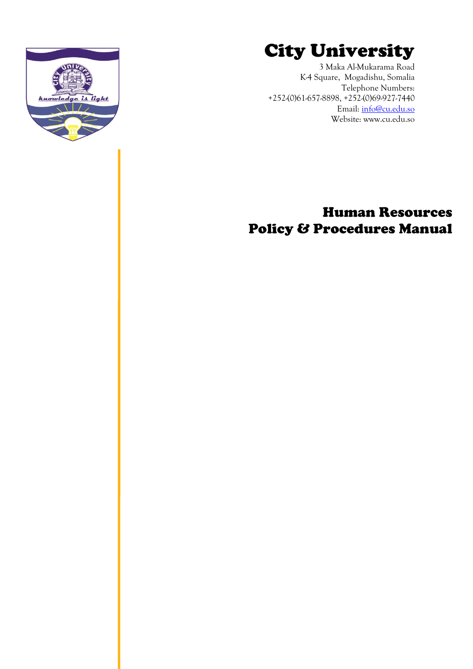

3 Maka Al-Mukarama Road K-4 Square, Mogadishu, Somalia [Telephone Numbers:](Tel:_%20+252-(0)61-657-8898,%20+252-(0)69-927-7440%0d) [+252-\(0\)61-657-8898, +252-\(0\)69-927-7440](Tel:_%20+252-(0)61-657-8898,%20+252-(0)69-927-7440%0d) Email: [info@cu.edu.so](mailto:info@cu.edu.so) Website: www.cu.edu.so



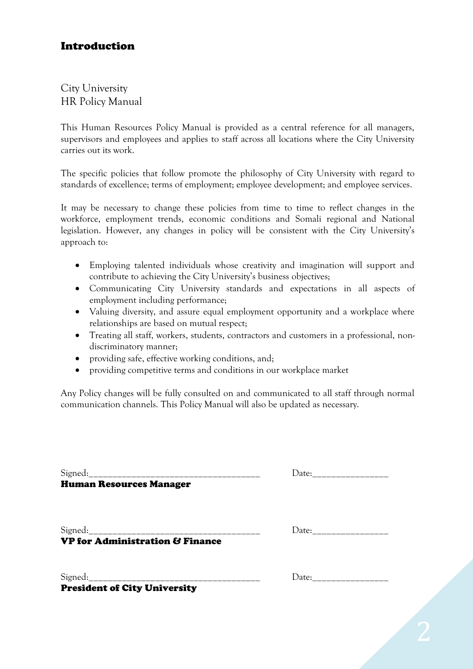### Introduction

City University HR Policy Manual

This Human Resources Policy Manual is provided as a central reference for all managers, supervisors and employees and applies to staff across all locations where the City University carries out its work.

The specific policies that follow promote the philosophy of City University with regard to standards of excellence; terms of employment; employee development; and employee services.

It may be necessary to change these policies from time to time to reflect changes in the workforce, employment trends, economic conditions and Somali regional and National legislation. However, any changes in policy will be consistent with the City University's approach to:

- Employing talented individuals whose creativity and imagination will support and contribute to achieving the City University's business objectives;
- Communicating City University standards and expectations in all aspects of employment including performance;
- Valuing diversity, and assure equal employment opportunity and a workplace where relationships are based on mutual respect;
- Treating all staff, workers, students, contractors and customers in a professional, nondiscriminatory manner;
- providing safe, effective working conditions, and;
- providing competitive terms and conditions in our workplace market

Any Policy changes will be fully consulted on and communicated to all staff through normal communication channels. This Policy Manual will also be updated as necessary.

Signed:\_\_\_\_\_\_\_\_\_\_\_\_\_\_\_\_\_\_\_\_\_\_\_\_\_\_\_\_\_\_\_\_\_\_\_\_ Date:\_\_\_\_\_\_\_\_\_\_\_\_\_\_\_\_

Human Resources Manager

Signed:\_\_\_\_\_\_\_\_\_\_\_\_\_\_\_\_\_\_\_\_\_\_\_\_\_\_\_\_\_\_\_\_\_\_\_\_ Date:\_\_\_\_\_\_\_\_\_\_\_\_\_\_\_\_ VP for Administration & Finance

Signed:\_\_\_\_\_\_\_\_\_\_\_\_\_\_\_\_\_\_\_\_\_\_\_\_\_\_\_\_\_\_\_\_\_\_\_\_ Date:\_\_\_\_\_\_\_\_\_\_\_\_\_\_\_\_ President of City University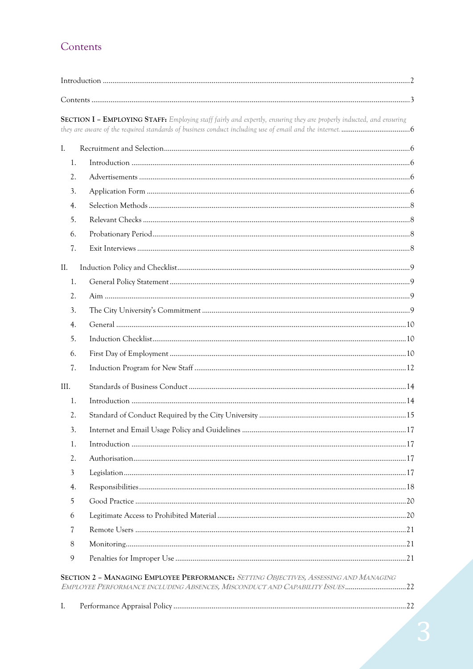# Contents

|      | SECTION I - EMPLOYING STAFF: Employing staff fairly and expertly, ensuring they are properly inducted, and ensuring                                                  |  |
|------|----------------------------------------------------------------------------------------------------------------------------------------------------------------------|--|
| I.   |                                                                                                                                                                      |  |
| 1.   |                                                                                                                                                                      |  |
| 2.   |                                                                                                                                                                      |  |
| 3.   |                                                                                                                                                                      |  |
| 4.   |                                                                                                                                                                      |  |
| 5.   |                                                                                                                                                                      |  |
| 6.   |                                                                                                                                                                      |  |
| 7.   |                                                                                                                                                                      |  |
| II.  |                                                                                                                                                                      |  |
| 1.   |                                                                                                                                                                      |  |
| 2.   |                                                                                                                                                                      |  |
| 3.   |                                                                                                                                                                      |  |
| 4.   |                                                                                                                                                                      |  |
| 5.   |                                                                                                                                                                      |  |
| 6.   |                                                                                                                                                                      |  |
| 7.   |                                                                                                                                                                      |  |
| III. |                                                                                                                                                                      |  |
| 1.   |                                                                                                                                                                      |  |
| 2.   |                                                                                                                                                                      |  |
| 3.   |                                                                                                                                                                      |  |
| 1.   |                                                                                                                                                                      |  |
| 2.   |                                                                                                                                                                      |  |
| 3    |                                                                                                                                                                      |  |
| 4.   |                                                                                                                                                                      |  |
| 5    |                                                                                                                                                                      |  |
| 6    |                                                                                                                                                                      |  |
| 7    |                                                                                                                                                                      |  |
| 8    |                                                                                                                                                                      |  |
| 9    |                                                                                                                                                                      |  |
|      | SECTION 2 - MANAGING EMPLOYEE PERFORMANCE: SETTING OBJECTIVES, ASSESSING AND MANAGING<br>EMPLOYEE PERFORMANCE INCLUDING ABSENCES, MISCONDUCT AND CAPABILITY ISSUES22 |  |
| I.   |                                                                                                                                                                      |  |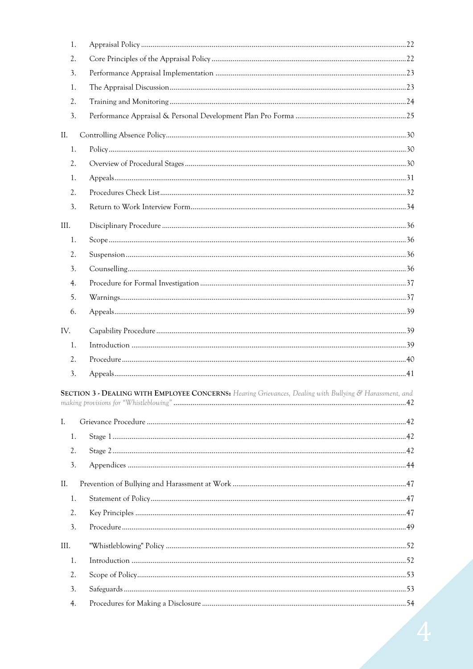|      | 1. |                                                                                                         |  |
|------|----|---------------------------------------------------------------------------------------------------------|--|
|      | 2. |                                                                                                         |  |
|      | 3. |                                                                                                         |  |
|      | 1. |                                                                                                         |  |
|      | 2. |                                                                                                         |  |
|      | 3. |                                                                                                         |  |
| II.  |    |                                                                                                         |  |
|      | 1. |                                                                                                         |  |
|      | 2. |                                                                                                         |  |
|      | 1. |                                                                                                         |  |
|      | 2. |                                                                                                         |  |
|      | 3. |                                                                                                         |  |
| III. |    |                                                                                                         |  |
|      | 1. |                                                                                                         |  |
|      | 2. |                                                                                                         |  |
|      | 3. |                                                                                                         |  |
|      | 4. |                                                                                                         |  |
|      | 5. |                                                                                                         |  |
|      | 6. |                                                                                                         |  |
| IV.  |    |                                                                                                         |  |
|      | 1. |                                                                                                         |  |
|      | 2. |                                                                                                         |  |
|      | 3. |                                                                                                         |  |
|      |    | SECTION 3 - DEALING WITH EMPLOYEE CONCERNS: Hearing Grievances, Dealing with Bullying & Harassment, and |  |
| I.   |    |                                                                                                         |  |
|      | 1. |                                                                                                         |  |
|      | 2. |                                                                                                         |  |
|      | 3. |                                                                                                         |  |
| II.  |    |                                                                                                         |  |
|      | 1. |                                                                                                         |  |
|      | 2. |                                                                                                         |  |
|      | 3. |                                                                                                         |  |
| III. |    |                                                                                                         |  |
|      | 1. |                                                                                                         |  |
|      | 2. |                                                                                                         |  |
|      | 3. |                                                                                                         |  |
|      | 4. |                                                                                                         |  |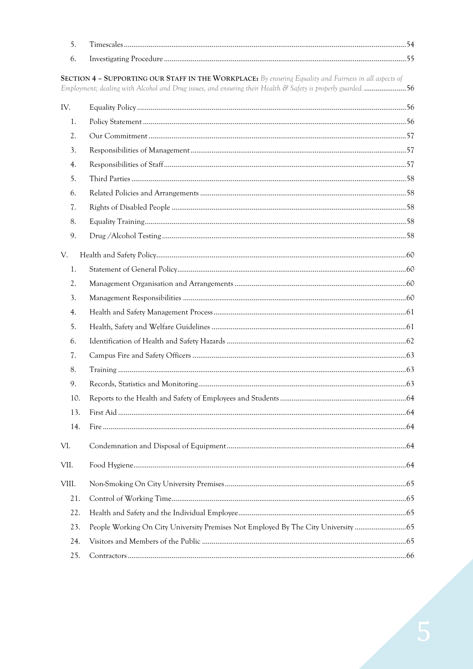| 5.    |                                                                                                                                                                                                                        |  |
|-------|------------------------------------------------------------------------------------------------------------------------------------------------------------------------------------------------------------------------|--|
| 6.    |                                                                                                                                                                                                                        |  |
|       | SECTION 4 - SUPPORTING OUR STAFF IN THE WORKPLACE: By ensuring Equality and Fairness in all aspects of<br>Employment; dealing with Alcohol and Drug issues, and ensuring their Health & Safety is properly guarded. 56 |  |
| IV.   |                                                                                                                                                                                                                        |  |
| 1.    |                                                                                                                                                                                                                        |  |
| 2.    |                                                                                                                                                                                                                        |  |
| 3.    |                                                                                                                                                                                                                        |  |
| 4.    |                                                                                                                                                                                                                        |  |
| 5.    |                                                                                                                                                                                                                        |  |
| 6.    |                                                                                                                                                                                                                        |  |
| 7.    |                                                                                                                                                                                                                        |  |
| 8.    |                                                                                                                                                                                                                        |  |
| 9.    |                                                                                                                                                                                                                        |  |
| V.    |                                                                                                                                                                                                                        |  |
| 1.    |                                                                                                                                                                                                                        |  |
| 2.    |                                                                                                                                                                                                                        |  |
| 3.    |                                                                                                                                                                                                                        |  |
| 4.    |                                                                                                                                                                                                                        |  |
| 5.    |                                                                                                                                                                                                                        |  |
| 6.    |                                                                                                                                                                                                                        |  |
| 7.    |                                                                                                                                                                                                                        |  |
| 8.    |                                                                                                                                                                                                                        |  |
| 9.    |                                                                                                                                                                                                                        |  |
| 10.   |                                                                                                                                                                                                                        |  |
| 13.   |                                                                                                                                                                                                                        |  |
| 14.   |                                                                                                                                                                                                                        |  |
| VI.   |                                                                                                                                                                                                                        |  |
| VII.  |                                                                                                                                                                                                                        |  |
| VIII. |                                                                                                                                                                                                                        |  |
| 21.   |                                                                                                                                                                                                                        |  |
| 22.   |                                                                                                                                                                                                                        |  |
| 23.   | People Working On City University Premises Not Employed By The City University                                                                                                                                         |  |
| 24.   |                                                                                                                                                                                                                        |  |
| 25.   |                                                                                                                                                                                                                        |  |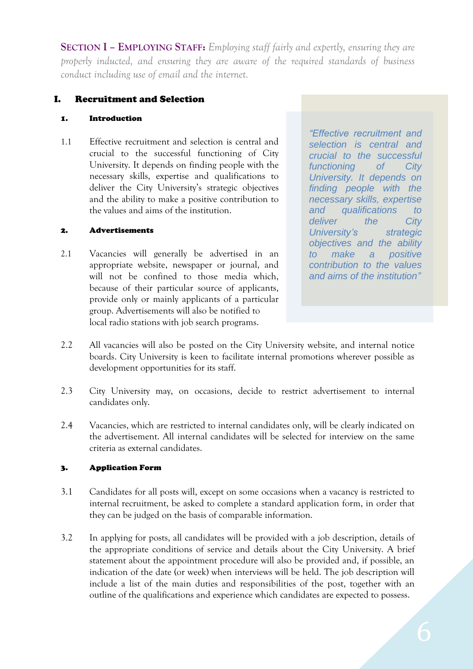**SECTION I – EMPLOYING STAFF:** *Employing staff fairly and expertly, ensuring they are properly inducted, and ensuring they are aware of the required standards of business conduct including use of email and the internet.*

### I. Recruitment and Selection

#### 1. Introduction

1.1 Effective recruitment and selection is central and crucial to the successful functioning of City University. It depends on finding people with the necessary skills, expertise and qualifications to deliver the City University's strategic objectives and the ability to make a positive contribution to the values and aims of the institution.

#### 2. Advertisements

2.1 Vacancies will generally be advertised in an appropriate website, newspaper or journal, and will not be confined to those media which, because of their particular source of applicants, provide only or mainly applicants of a particular group. Advertisements will also be notified to local radio stations with job search programs.

*"Effective recruitment and selection is central and crucial to the successful functioning of City University. It depends on finding people with the necessary skills, expertise and qualifications to deliver the City University's strategic objectives and the ability to make a positive contribution to the values and aims of the institution"*

- 2.2 All vacancies will also be posted on the City University website, and internal notice boards. City University is keen to facilitate internal promotions wherever possible as development opportunities for its staff.
- 2.3 City University may, on occasions, decide to restrict advertisement to internal candidates only.
- 2.4 Vacancies, which are restricted to internal candidates only, will be clearly indicated on the advertisement. All internal candidates will be selected for interview on the same criteria as external candidates.

#### 3. Application Form

- 3.1 Candidates for all posts will, except on some occasions when a vacancy is restricted to internal recruitment, be asked to complete a standard application form, in order that they can be judged on the basis of comparable information.
- 3.2 In applying for posts, all candidates will be provided with a job description, details of the appropriate conditions of service and details about the City University. A brief statement about the appointment procedure will also be provided and, if possible, an indication of the date (or week) when interviews will be held. The job description will include a list of the main duties and responsibilities of the post, together with an outline of the qualifications and experience which candidates are expected to possess.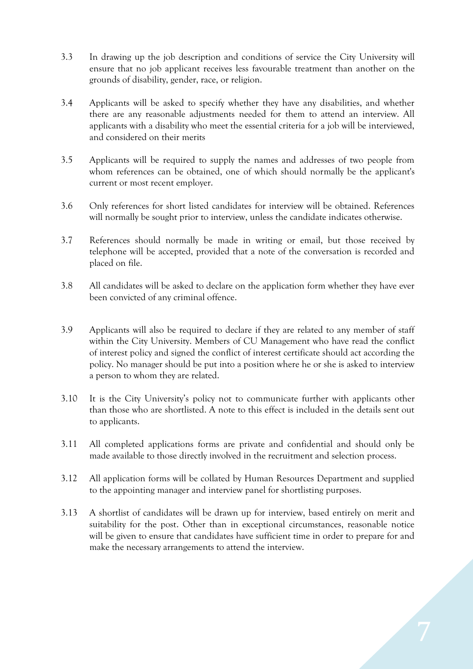- 3.3 In drawing up the job description and conditions of service the City University will ensure that no job applicant receives less favourable treatment than another on the grounds of disability, gender, race, or religion.
- 3.4 Applicants will be asked to specify whether they have any disabilities, and whether there are any reasonable adjustments needed for them to attend an interview. All applicants with a disability who meet the essential criteria for a job will be interviewed, and considered on their merits
- 3.5 Applicants will be required to supply the names and addresses of two people from whom references can be obtained, one of which should normally be the applicant's current or most recent employer.
- 3.6 Only references for short listed candidates for interview will be obtained. References will normally be sought prior to interview, unless the candidate indicates otherwise.
- 3.7 References should normally be made in writing or email, but those received by telephone will be accepted, provided that a note of the conversation is recorded and placed on file.
- 3.8 All candidates will be asked to declare on the application form whether they have ever been convicted of any criminal offence.
- 3.9 Applicants will also be required to declare if they are related to any member of staff within the City University. Members of CU Management who have read the conflict of interest policy and signed the conflict of interest certificate should act according the policy. No manager should be put into a position where he or she is asked to interview a person to whom they are related.
- 3.10 It is the City University's policy not to communicate further with applicants other than those who are shortlisted. A note to this effect is included in the details sent out to applicants.
- 3.11 All completed applications forms are private and confidential and should only be made available to those directly involved in the recruitment and selection process.
- 3.12 All application forms will be collated by Human Resources Department and supplied to the appointing manager and interview panel for shortlisting purposes.
- 3.13 A shortlist of candidates will be drawn up for interview, based entirely on merit and suitability for the post. Other than in exceptional circumstances, reasonable notice will be given to ensure that candidates have sufficient time in order to prepare for and make the necessary arrangements to attend the interview.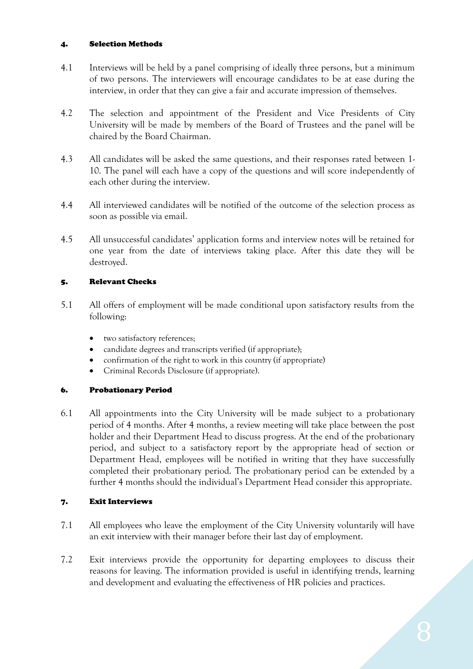#### 4. Selection Methods

- 4.1 Interviews will be held by a panel comprising of ideally three persons, but a minimum of two persons. The interviewers will encourage candidates to be at ease during the interview, in order that they can give a fair and accurate impression of themselves.
- 4.2 The selection and appointment of the President and Vice Presidents of City University will be made by members of the Board of Trustees and the panel will be chaired by the Board Chairman.
- 4.3 All candidates will be asked the same questions, and their responses rated between 1- 10. The panel will each have a copy of the questions and will score independently of each other during the interview.
- 4.4 All interviewed candidates will be notified of the outcome of the selection process as soon as possible via email.
- 4.5 All unsuccessful candidates' application forms and interview notes will be retained for one year from the date of interviews taking place. After this date they will be destroyed.

#### 5. Relevant Checks

- 5.1 All offers of employment will be made conditional upon satisfactory results from the following:
	- two satisfactory references;
	- candidate degrees and transcripts verified (if appropriate);
	- confirmation of the right to work in this country (if appropriate)
	- Criminal Records Disclosure (if appropriate).

#### 6. Probationary Period

6.1 All appointments into the City University will be made subject to a probationary period of 4 months. After 4 months, a review meeting will take place between the post holder and their Department Head to discuss progress. At the end of the probationary period, and subject to a satisfactory report by the appropriate head of section or Department Head, employees will be notified in writing that they have successfully completed their probationary period. The probationary period can be extended by a further 4 months should the individual's Department Head consider this appropriate.

#### 7. Exit Interviews

- 7.1 All employees who leave the employment of the City University voluntarily will have an exit interview with their manager before their last day of employment.
- 7.2 Exit interviews provide the opportunity for departing employees to discuss their reasons for leaving. The information provided is useful in identifying trends, learning and development and evaluating the effectiveness of HR policies and practices.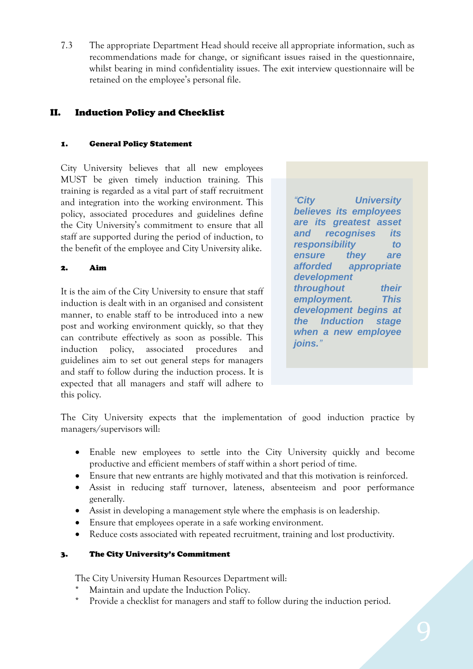7.3 The appropriate Department Head should receive all appropriate information, such as recommendations made for change, or significant issues raised in the questionnaire, whilst bearing in mind confidentiality issues. The exit interview questionnaire will be retained on the employee's personal file.

### II. Induction Policy and Checklist

#### 1. General Policy Statement

City University believes that all new employees MUST be given timely induction training. This training is regarded as a vital part of staff recruitment and integration into the working environment. This policy, associated procedures and guidelines define the City University's commitment to ensure that all staff are supported during the period of induction, to the benefit of the employee and City University alike.

#### 2. Aim

It is the aim of the City University to ensure that staff induction is dealt with in an organised and consistent manner, to enable staff to be introduced into a new post and working environment quickly, so that they can contribute effectively as soon as possible. This induction policy, associated procedures and guidelines aim to set out general steps for managers and staff to follow during the induction process. It is expected that all managers and staff will adhere to this policy.

*"City University believes its employees are its greatest asset and recognises its responsibility to ensure they are afforded appropriate development throughout their employment. This development begins at the Induction stage when a new employee joins."*

The City University expects that the implementation of good induction practice by managers/supervisors will:

- Enable new employees to settle into the City University quickly and become productive and efficient members of staff within a short period of time.
- Ensure that new entrants are highly motivated and that this motivation is reinforced.
- Assist in reducing staff turnover, lateness, absenteeism and poor performance generally.
- Assist in developing a management style where the emphasis is on leadership.
- Ensure that employees operate in a safe working environment.
- Reduce costs associated with repeated recruitment, training and lost productivity.

#### 3. The City University's Commitment

The City University Human Resources Department will:

- Maintain and update the Induction Policy.
- Provide a checklist for managers and staff to follow during the induction period.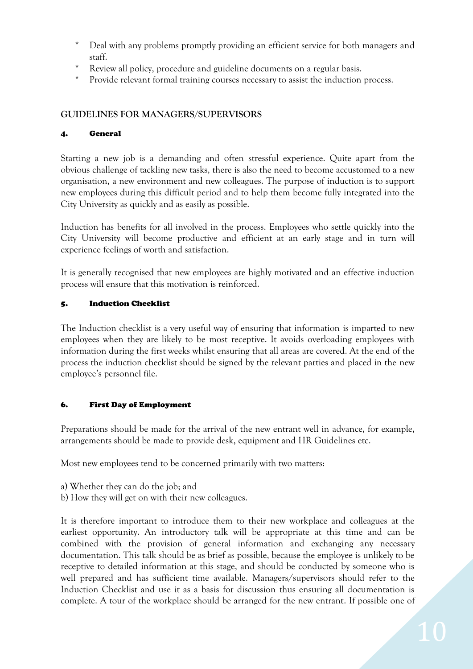- Deal with any problems promptly providing an efficient service for both managers and staff.
- Review all policy, procedure and guideline documents on a regular basis.
- Provide relevant formal training courses necessary to assist the induction process.

#### **GUIDELINES FOR MANAGERS/SUPERVISORS**

#### 4. General

Starting a new job is a demanding and often stressful experience. Quite apart from the obvious challenge of tackling new tasks, there is also the need to become accustomed to a new organisation, a new environment and new colleagues. The purpose of induction is to support new employees during this difficult period and to help them become fully integrated into the City University as quickly and as easily as possible.

Induction has benefits for all involved in the process. Employees who settle quickly into the City University will become productive and efficient at an early stage and in turn will experience feelings of worth and satisfaction.

It is generally recognised that new employees are highly motivated and an effective induction process will ensure that this motivation is reinforced.

#### 5. Induction Checklist

The Induction checklist is a very useful way of ensuring that information is imparted to new employees when they are likely to be most receptive. It avoids overloading employees with information during the first weeks whilst ensuring that all areas are covered. At the end of the process the induction checklist should be signed by the relevant parties and placed in the new employee's personnel file.

#### 6. First Day of Employment

Preparations should be made for the arrival of the new entrant well in advance, for example, arrangements should be made to provide desk, equipment and HR Guidelines etc.

Most new employees tend to be concerned primarily with two matters:

- a) Whether they can do the job; and
- b) How they will get on with their new colleagues.

It is therefore important to introduce them to their new workplace and colleagues at the earliest opportunity. An introductory talk will be appropriate at this time and can be combined with the provision of general information and exchanging any necessary documentation. This talk should be as brief as possible, because the employee is unlikely to be receptive to detailed information at this stage, and should be conducted by someone who is well prepared and has sufficient time available. Managers/supervisors should refer to the Induction Checklist and use it as a basis for discussion thus ensuring all documentation is complete. A tour of the workplace should be arranged for the new entrant. If possible one of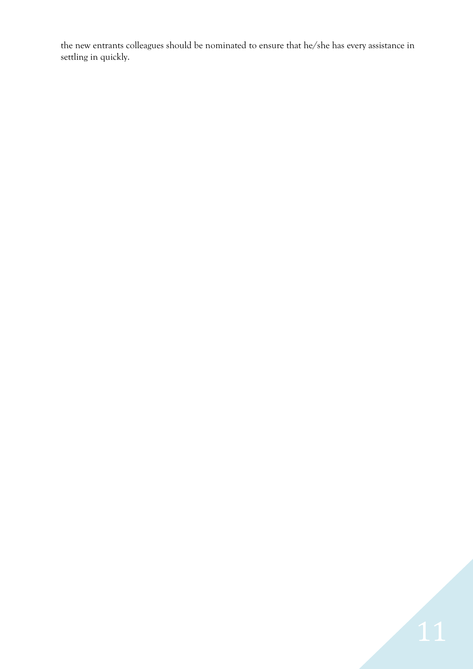the new entrants colleagues should be nominated to ensure that he/she has every assistance in settling in quickly.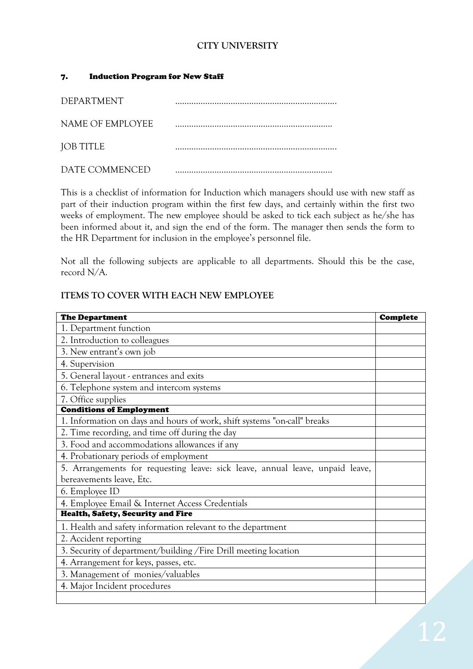### **CITY UNIVERSITY**

#### 7. Induction Program for New Staff

| DEPARTMENT       |  |
|------------------|--|
| NAME OF EMPLOYEE |  |
| <b>JOB TITLE</b> |  |
| DATE COMMENCED   |  |

This is a checklist of information for Induction which managers should use with new staff as part of their induction program within the first few days, and certainly within the first two weeks of employment. The new employee should be asked to tick each subject as he/she has been informed about it, and sign the end of the form. The manager then sends the form to the HR Department for inclusion in the employee's personnel file.

Not all the following subjects are applicable to all departments. Should this be the case, record N/A.

#### **ITEMS TO COVER WITH EACH NEW EMPLOYEE**

| <b>The Department</b>                                                         | <b>Complete</b> |  |
|-------------------------------------------------------------------------------|-----------------|--|
| 1. Department function                                                        |                 |  |
| 2. Introduction to colleagues                                                 |                 |  |
| 3. New entrant's own job                                                      |                 |  |
| 4. Supervision                                                                |                 |  |
| 5. General layout - entrances and exits                                       |                 |  |
| 6. Telephone system and intercom systems                                      |                 |  |
| 7. Office supplies                                                            |                 |  |
| <b>Conditions of Employment</b>                                               |                 |  |
| 1. Information on days and hours of work, shift systems "on-call" breaks      |                 |  |
| 2. Time recording, and time off during the day                                |                 |  |
| 3. Food and accommodations allowances if any                                  |                 |  |
| 4. Probationary periods of employment                                         |                 |  |
| 5. Arrangements for requesting leave: sick leave, annual leave, unpaid leave, |                 |  |
| bereavements leave, Etc.                                                      |                 |  |
| 6. Employee ID                                                                |                 |  |
| 4. Employee Email & Internet Access Credentials                               |                 |  |
| Health, Safety, Security and Fire                                             |                 |  |
| 1. Health and safety information relevant to the department                   |                 |  |
| 2. Accident reporting                                                         |                 |  |
| 3. Security of department/building/Fire Drill meeting location                |                 |  |
| 4. Arrangement for keys, passes, etc.                                         |                 |  |
| 3. Management of monies/valuables                                             |                 |  |
| 4. Major Incident procedures                                                  |                 |  |
|                                                                               |                 |  |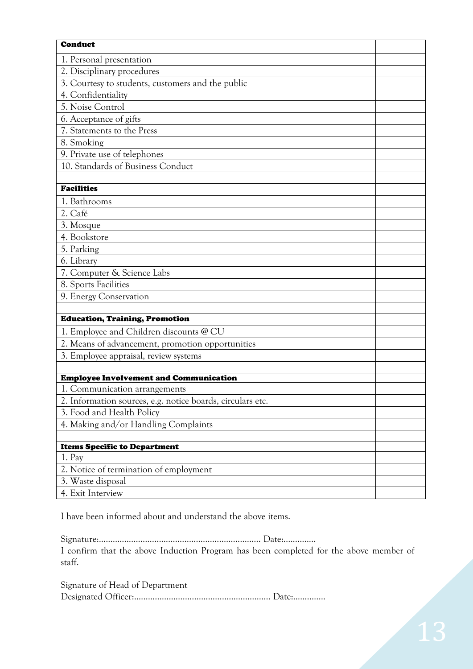| <b>Conduct</b>                                                                          |  |
|-----------------------------------------------------------------------------------------|--|
| 1. Personal presentation                                                                |  |
| 2. Disciplinary procedures                                                              |  |
| 3. Courtesy to students, customers and the public                                       |  |
| 4. Confidentiality                                                                      |  |
| 5. Noise Control                                                                        |  |
| 6. Acceptance of gifts                                                                  |  |
| 7. Statements to the Press                                                              |  |
| 8. Smoking                                                                              |  |
| 9. Private use of telephones                                                            |  |
| 10. Standards of Business Conduct                                                       |  |
|                                                                                         |  |
| <b>Facilities</b>                                                                       |  |
| 1. Bathrooms                                                                            |  |
| 2. Café                                                                                 |  |
| 3. Mosque                                                                               |  |
| 4. Bookstore                                                                            |  |
| 5. Parking                                                                              |  |
| 6. Library                                                                              |  |
| 7. Computer & Science Labs                                                              |  |
| 8. Sports Facilities                                                                    |  |
| 9. Energy Conservation                                                                  |  |
|                                                                                         |  |
| <b>Education, Training, Promotion</b>                                                   |  |
| 1. Employee and Children discounts @ CU                                                 |  |
| 2. Means of advancement, promotion opportunities                                        |  |
| 3. Employee appraisal, review systems                                                   |  |
|                                                                                         |  |
| <b>Employee Involvement and Communication</b>                                           |  |
| 1. Communication arrangements                                                           |  |
| 2. Information sources, e.g. notice boards, circulars etc.<br>3. Food and Health Policy |  |
| 4. Making and/or Handling Complaints                                                    |  |
|                                                                                         |  |
| <b>Items Specific to Department</b>                                                     |  |
| 1. P <sub>ay</sub>                                                                      |  |
| 2. Notice of termination of employment                                                  |  |
| 3. Waste disposal                                                                       |  |
| 4. Exit Interview                                                                       |  |
|                                                                                         |  |

I have been informed about and understand the above items.

Signature:...............................………………………………… Date:..............

I confirm that the above Induction Program has been completed for the above member of staff.

Signature of Head of Department Designated Officer:...................................…………………… Date:..............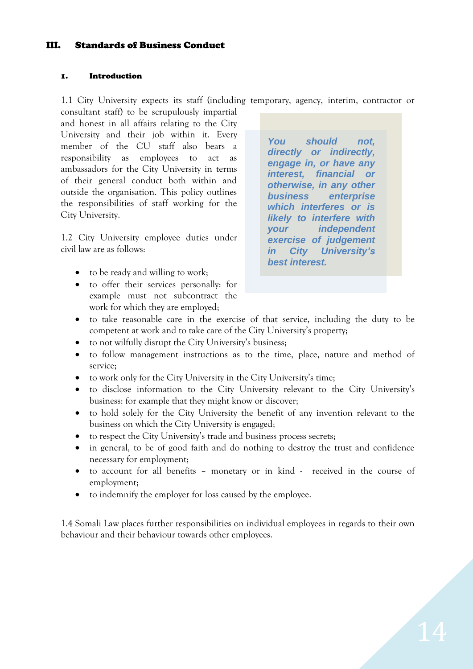#### III. Standards of Business Conduct

#### 1. Introduction

1.1 City University expects its staff (including temporary, agency, interim, contractor or

consultant staff) to be scrupulously impartial and honest in all affairs relating to the City University and their job within it. Every member of the CU staff also bears a responsibility as employees to act as ambassadors for the City University in terms of their general conduct both within and outside the organisation. This policy outlines the responsibilities of staff working for the City University.

1.2 City University employee duties under civil law are as follows:

- to be ready and willing to work;
- to offer their services personally: for example must not subcontract the work for which they are employed;

*You should not, directly or indirectly, engage in, or have any interest, financial or otherwise, in any other business enterprise which interferes or is likely to interfere with your independent exercise of judgement in City University's best interest.*

- to take reasonable care in the exercise of that service, including the duty to be competent at work and to take care of the City University's property;
- to not wilfully disrupt the City University's business;
- to follow management instructions as to the time, place, nature and method of service;
- to work only for the City University in the City University's time;
- to disclose information to the City University relevant to the City University's business: for example that they might know or discover;
- to hold solely for the City University the benefit of any invention relevant to the business on which the City University is engaged;
- to respect the City University's trade and business process secrets;
- in general, to be of good faith and do nothing to destroy the trust and confidence necessary for employment;
- to account for all benefits monetary or in kind received in the course of employment;
- to indemnify the employer for loss caused by the employee.

1.4 Somali Law places further responsibilities on individual employees in regards to their own behaviour and their behaviour towards other employees.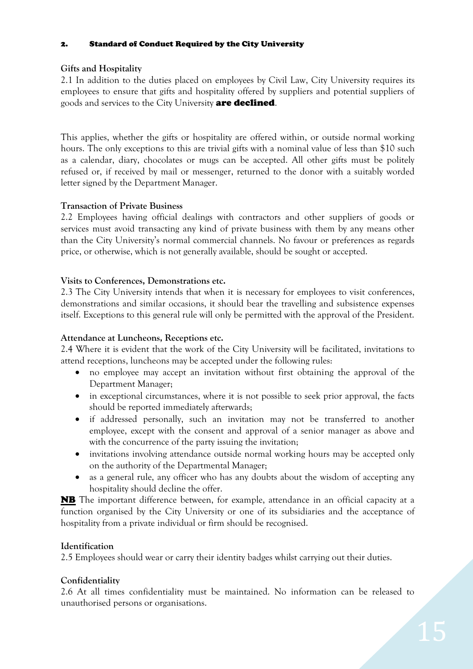#### 2. Standard of Conduct Required by the City University

### **Gifts and Hospitality**

2.1 In addition to the duties placed on employees by Civil Law, City University requires its employees to ensure that gifts and hospitality offered by suppliers and potential suppliers of goods and services to the City University **are declined**.

This applies, whether the gifts or hospitality are offered within, or outside normal working hours. The only exceptions to this are trivial gifts with a nominal value of less than \$10 such as a calendar, diary, chocolates or mugs can be accepted. All other gifts must be politely refused or, if received by mail or messenger, returned to the donor with a suitably worded letter signed by the Department Manager.

### **Transaction of Private Business**

2.2 Employees having official dealings with contractors and other suppliers of goods or services must avoid transacting any kind of private business with them by any means other than the City University's normal commercial channels. No favour or preferences as regards price, or otherwise, which is not generally available, should be sought or accepted.

### **Visits to Conferences, Demonstrations etc.**

2.3 The City University intends that when it is necessary for employees to visit conferences, demonstrations and similar occasions, it should bear the travelling and subsistence expenses itself. Exceptions to this general rule will only be permitted with the approval of the President.

### **Attendance at Luncheons, Receptions etc.**

2.4 Where it is evident that the work of the City University will be facilitated, invitations to attend receptions, luncheons may be accepted under the following rules:

- no employee may accept an invitation without first obtaining the approval of the Department Manager;
- in exceptional circumstances, where it is not possible to seek prior approval, the facts should be reported immediately afterwards;
- if addressed personally, such an invitation may not be transferred to another employee, except with the consent and approval of a senior manager as above and with the concurrence of the party issuing the invitation;
- invitations involving attendance outside normal working hours may be accepted only on the authority of the Departmental Manager;
- as a general rule, any officer who has any doubts about the wisdom of accepting any hospitality should decline the offer.

NB The important difference between, for example, attendance in an official capacity at a function organised by the City University or one of its subsidiaries and the acceptance of hospitality from a private individual or firm should be recognised.

### **Identification**

2.5 Employees should wear or carry their identity badges whilst carrying out their duties.

### **Confidentiality**

2.6 At all times confidentiality must be maintained. No information can be released to unauthorised persons or organisations.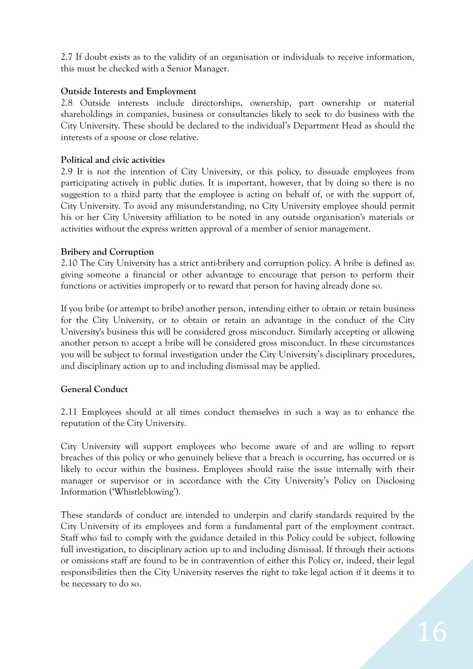2.7 If doubt exists as to the validity of an organisation or individuals to receive information, this must be checked with a Senior Manager.

#### **Outside Interests and Employment**

2.8 Outside interests include directorships, ownership, part ownership or material shareholdings in companies, business or consultancies likely to seek to do business with the City University. These should be declared to the individual's Department Head as should the interests of a spouse or close relative.

#### **Political and civic activities**

2.9 It is not the intention of City University, or this policy, to dissuade employees from participating actively in public duties. It is important, however, that by doing so there is no suggestion to a third party that the employee is acting on behalf of, or with the support of, City University. To avoid any misunderstanding, no City University employee should permit his or her City University affiliation to be noted in any outside organisation's materials or activities without the express written approval of a member of senior management.

#### **Bribery and Corruption**

2.10 The City University has a strict anti-bribery and corruption policy. A bribe is defined as: giving someone a financial or other advantage to encourage that person to perform their functions or activities improperly or to reward that person for having already done so.

If you bribe (or attempt to bribe) another person, intending either to obtain or retain business for the City University, or to obtain or retain an advantage in the conduct of the City University's business this will be considered gross misconduct. Similarly accepting or allowing another person to accept a bribe will be considered gross misconduct. In these circumstances you will be subject to formal investigation under the City University's disciplinary procedures, and disciplinary action up to and including dismissal may be applied.

#### **General Conduct**

2.11 Employees should at all times conduct themselves in such a way as to enhance the reputation of the City University.

City University will support employees who become aware of and are willing to report breaches of this policy or who genuinely believe that a breach is occurring, has occurred or is likely to occur within the business. Employees should raise the issue internally with their manager or supervisor or in accordance with the City University's Policy on Disclosing Information ('Whistleblowing').

These standards of conduct are intended to underpin and clarify standards required by the City University of its employees and form a fundamental part of the employment contract. Staff who fail to comply with the guidance detailed in this Policy could be subject, following full investigation, to disciplinary action up to and including dismissal. If through their actions or omissions staff are found to be in contravention of either this Policy or, indeed, their legal responsibilities then the City University reserves the right to take legal action if it deems it to be necessary to do so.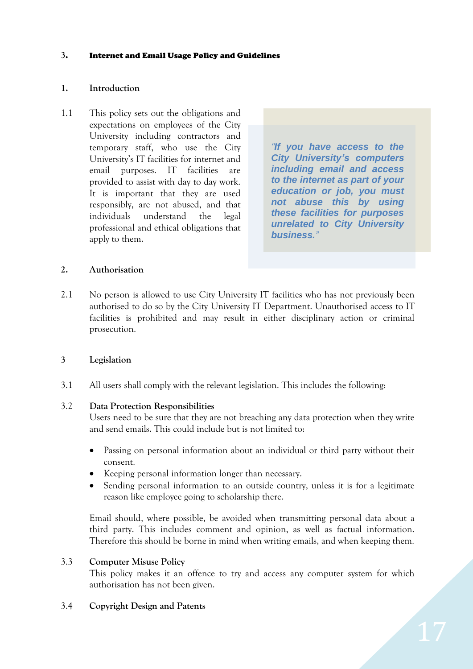#### **3**. Internet and Email Usage Policy and Guidelines

#### **1. Introduction**

1.1 This policy sets out the obligations and expectations on employees of the City University including contractors and temporary staff, who use the City University's IT facilities for internet and email purposes. IT facilities are provided to assist with day to day work. It is important that they are used responsibly, are not abused, and that individuals understand the legal professional and ethical obligations that apply to them.

*"If you have access to the City University's computers including email and access to the internet as part of your education or job, you must not abuse this by using these facilities for purposes unrelated to City University business."*

#### **2. Authorisation**

2.1 No person is allowed to use City University IT facilities who has not previously been authorised to do so by the City University IT Department. Unauthorised access to IT facilities is prohibited and may result in either disciplinary action or criminal prosecution.

#### **3 Legislation**

3.1 All users shall comply with the relevant legislation. This includes the following:

#### 3.2 **Data Protection Responsibilities**

Users need to be sure that they are not breaching any data protection when they write and send emails. This could include but is not limited to:

- Passing on personal information about an individual or third party without their consent.
- Keeping personal information longer than necessary.
- Sending personal information to an outside country, unless it is for a legitimate reason like employee going to scholarship there.

Email should, where possible, be avoided when transmitting personal data about a third party. This includes comment and opinion, as well as factual information. Therefore this should be borne in mind when writing emails, and when keeping them.

#### 3.3 **Computer Misuse Policy**

This policy makes it an offence to try and access any computer system for which authorisation has not been given.

#### 3.4 **Copyright Design and Patents**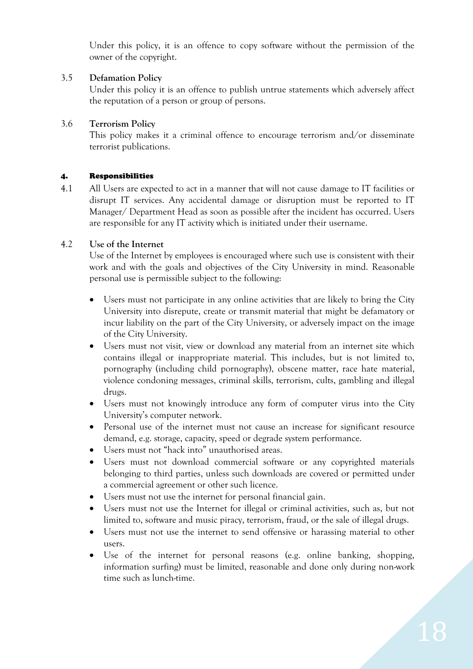Under this policy, it is an offence to copy software without the permission of the owner of the copyright.

#### 3.5 **Defamation Policy**

Under this policy it is an offence to publish untrue statements which adversely affect the reputation of a person or group of persons.

### 3.6 **Terrorism Policy**

This policy makes it a criminal offence to encourage terrorism and/or disseminate terrorist publications.

#### 4. Responsibilities

4.1 All Users are expected to act in a manner that will not cause damage to IT facilities or disrupt IT services. Any accidental damage or disruption must be reported to IT Manager/ Department Head as soon as possible after the incident has occurred. Users are responsible for any IT activity which is initiated under their username.

### 4.2 **Use of the Internet**

Use of the Internet by employees is encouraged where such use is consistent with their work and with the goals and objectives of the City University in mind. Reasonable personal use is permissible subject to the following:

- Users must not participate in any online activities that are likely to bring the City University into disrepute, create or transmit material that might be defamatory or incur liability on the part of the City University, or adversely impact on the image of the City University.
- Users must not visit, view or download any material from an internet site which contains illegal or inappropriate material. This includes, but is not limited to, pornography (including child pornography), obscene matter, race hate material, violence condoning messages, criminal skills, terrorism, cults, gambling and illegal drugs.
- Users must not knowingly introduce any form of computer virus into the City University's computer network.
- Personal use of the internet must not cause an increase for significant resource demand, e.g. storage, capacity, speed or degrade system performance.
- Users must not "hack into" unauthorised areas.
- Users must not download commercial software or any copyrighted materials belonging to third parties, unless such downloads are covered or permitted under a commercial agreement or other such licence.
- Users must not use the internet for personal financial gain.
- Users must not use the Internet for illegal or criminal activities, such as, but not limited to, software and music piracy, terrorism, fraud, or the sale of illegal drugs.
- Users must not use the internet to send offensive or harassing material to other users.
- Use of the internet for personal reasons (e.g. online banking, shopping, information surfing) must be limited, reasonable and done only during non-work time such as lunch-time.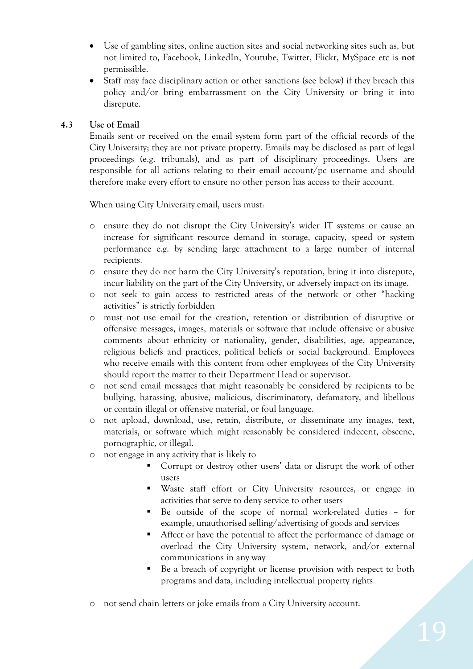- Use of gambling sites, online auction sites and social networking sites such as, but not limited to, Facebook, LinkedIn, Youtube, Twitter, Flickr, MySpace etc is **not** permissible.
- Staff may face disciplinary action or other sanctions (see below) if they breach this policy and/or bring embarrassment on the City University or bring it into disrepute.

### **4.3 Use of Email**

Emails sent or received on the email system form part of the official records of the City University; they are not private property. Emails may be disclosed as part of legal proceedings (e.g. tribunals), and as part of disciplinary proceedings. Users are responsible for all actions relating to their email account/pc username and should therefore make every effort to ensure no other person has access to their account.

When using City University email, users must:

- o ensure they do not disrupt the City University's wider IT systems or cause an increase for significant resource demand in storage, capacity, speed or system performance e.g. by sending large attachment to a large number of internal recipients.
- o ensure they do not harm the City University's reputation, bring it into disrepute, incur liability on the part of the City University, or adversely impact on its image.
- o not seek to gain access to restricted areas of the network or other "hacking activities" is strictly forbidden
- o must not use email for the creation, retention or distribution of disruptive or offensive messages, images, materials or software that include offensive or abusive comments about ethnicity or nationality, gender, disabilities, age, appearance, religious beliefs and practices, political beliefs or social background. Employees who receive emails with this content from other employees of the City University should report the matter to their Department Head or supervisor.
- o not send email messages that might reasonably be considered by recipients to be bullying, harassing, abusive, malicious, discriminatory, defamatory, and libellous or contain illegal or offensive material, or foul language.
- o not upload, download, use, retain, distribute, or disseminate any images, text, materials, or software which might reasonably be considered indecent, obscene, pornographic, or illegal.
- o not engage in any activity that is likely to
	- Corrupt or destroy other users' data or disrupt the work of other users
	- Waste staff effort or City University resources, or engage in activities that serve to deny service to other users
	- Be outside of the scope of normal work-related duties for example, unauthorised selling/advertising of goods and services
	- Affect or have the potential to affect the performance of damage or overload the City University system, network, and/or external communications in any way
	- Be a breach of copyright or license provision with respect to both programs and data, including intellectual property rights
- o not send chain letters or joke emails from a City University account.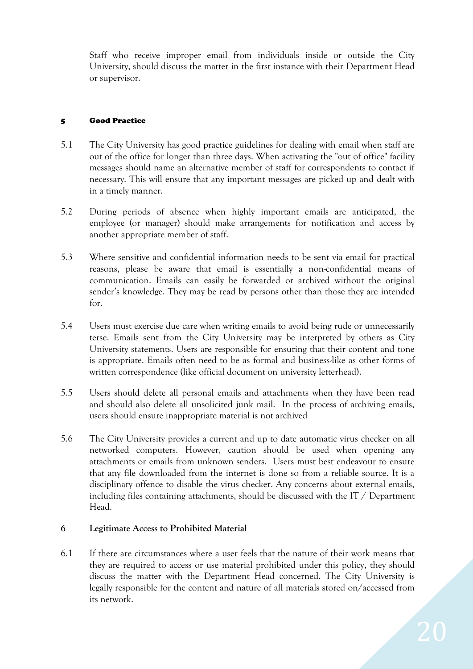Staff who receive improper email from individuals inside or outside the City University, should discuss the matter in the first instance with their Department Head or supervisor.

#### 5 Good Practice

- 5.1 The City University has good practice guidelines for dealing with email when staff are out of the office for longer than three days. When activating the "out of office" facility messages should name an alternative member of staff for correspondents to contact if necessary. This will ensure that any important messages are picked up and dealt with in a timely manner.
- 5.2 During periods of absence when highly important emails are anticipated, the employee (or manager) should make arrangements for notification and access by another appropriate member of staff.
- 5.3 Where sensitive and confidential information needs to be sent via email for practical reasons, please be aware that email is essentially a non-confidential means of communication. Emails can easily be forwarded or archived without the original sender's knowledge. They may be read by persons other than those they are intended for.
- 5.4 Users must exercise due care when writing emails to avoid being rude or unnecessarily terse. Emails sent from the City University may be interpreted by others as City University statements. Users are responsible for ensuring that their content and tone is appropriate. Emails often need to be as formal and business-like as other forms of written correspondence (like official document on university letterhead).
- 5.5 Users should delete all personal emails and attachments when they have been read and should also delete all unsolicited junk mail. In the process of archiving emails, users should ensure inappropriate material is not archived
- 5.6 The City University provides a current and up to date automatic virus checker on all networked computers. However, caution should be used when opening any attachments or emails from unknown senders. Users must best endeavour to ensure that any file downloaded from the internet is done so from a reliable source. It is a disciplinary offence to disable the virus checker. Any concerns about external emails, including files containing attachments, should be discussed with the IT / Department Head.

#### **6 Legitimate Access to Prohibited Material**

6.1 If there are circumstances where a user feels that the nature of their work means that they are required to access or use material prohibited under this policy, they should discuss the matter with the Department Head concerned. The City University is legally responsible for the content and nature of all materials stored on/accessed from its network.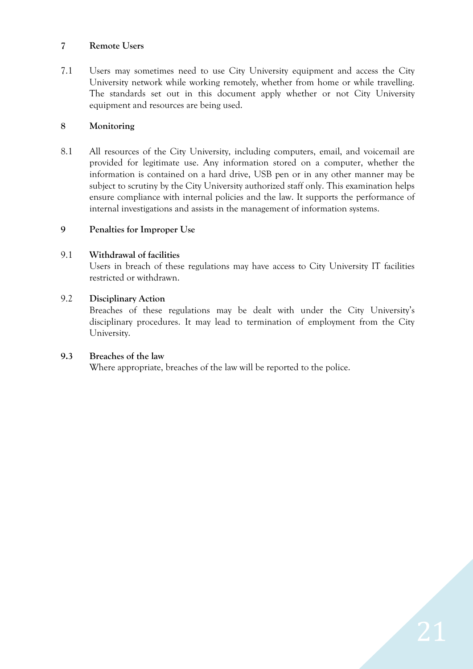#### **7 Remote Users**

7.1 Users may sometimes need to use City University equipment and access the City University network while working remotely, whether from home or while travelling. The standards set out in this document apply whether or not City University equipment and resources are being used.

#### **8 Monitoring**

8.1 All resources of the City University, including computers, email, and voicemail are provided for legitimate use. Any information stored on a computer, whether the information is contained on a hard drive, USB pen or in any other manner may be subject to scrutiny by the City University authorized staff only. This examination helps ensure compliance with internal policies and the law. It supports the performance of internal investigations and assists in the management of information systems.

#### **9 Penalties for Improper Use**

#### 9.1 **Withdrawal of facilities**

Users in breach of these regulations may have access to City University IT facilities restricted or withdrawn.

#### 9.2 **Disciplinary Action**

Breaches of these regulations may be dealt with under the City University's disciplinary procedures. It may lead to termination of employment from the City University.

#### **9.3 Breaches of the law**

Where appropriate, breaches of the law will be reported to the police.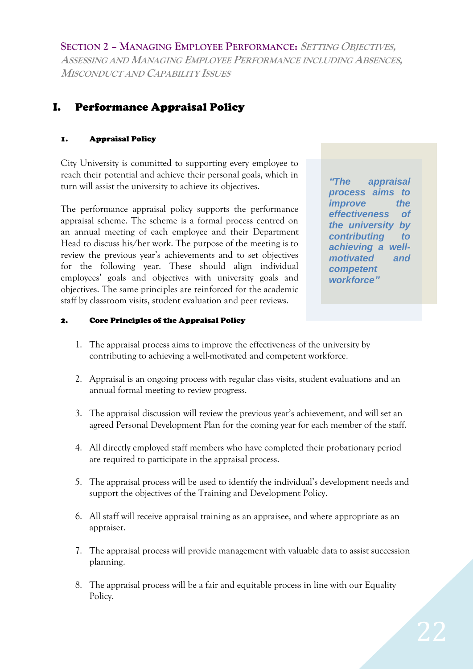**SECTION 2 – MANAGING EMPLOYEE PERFORMANCE: <sup>S</sup>ETTING OBJECTIVES, ASSESSING AND MANAGING EMPLOYEE PERFORMANCE INCLUDING ABSENCES, MISCONDUCT AND CAPABILITY ISSUES**

# I. Performance Appraisal Policy

### 1. Appraisal Policy

City University is committed to supporting every employee to reach their potential and achieve their personal goals, which in turn will assist the university to achieve its objectives.

The performance appraisal policy supports the performance appraisal scheme. The scheme is a formal process centred on an annual meeting of each employee and their Department Head to discuss his/her work. The purpose of the meeting is to review the previous year's achievements and to set objectives for the following year. These should align individual employees' goals and objectives with university goals and objectives. The same principles are reinforced for the academic staff by classroom visits, student evaluation and peer reviews.

*"The appraisal process aims to improve the effectiveness of the university by contributing to achieving a wellmotivated and competent workforce"*

#### 2. Core Principles of the Appraisal Policy

- 1. The appraisal process aims to improve the effectiveness of the university by contributing to achieving a well-motivated and competent workforce.
- 2. Appraisal is an ongoing process with regular class visits, student evaluations and an annual formal meeting to review progress.
- 3. The appraisal discussion will review the previous year's achievement, and will set an agreed Personal Development Plan for the coming year for each member of the staff.
- 4. All directly employed staff members who have completed their probationary period are required to participate in the appraisal process.
- 5. The appraisal process will be used to identify the individual's development needs and support the objectives of the Training and Development Policy.
- 6. All staff will receive appraisal training as an appraisee, and where appropriate as an appraiser.
- 7. The appraisal process will provide management with valuable data to assist succession planning.
- 8. The appraisal process will be a fair and equitable process in line with our Equality Policy.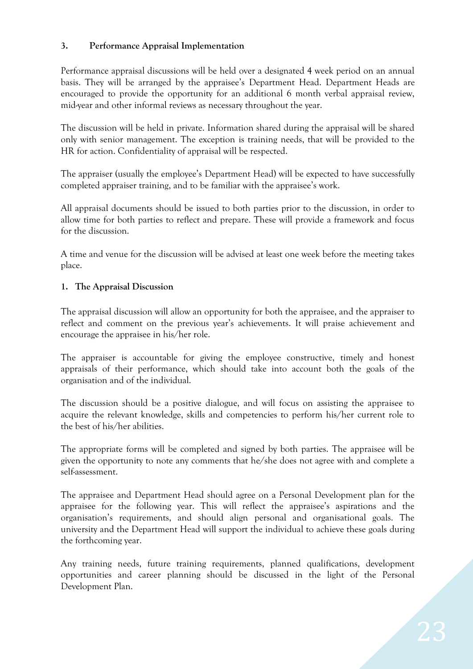### **3. Performance Appraisal Implementation**

Performance appraisal discussions will be held over a designated 4 week period on an annual basis. They will be arranged by the appraisee's Department Head. Department Heads are encouraged to provide the opportunity for an additional 6 month verbal appraisal review, mid-year and other informal reviews as necessary throughout the year.

The discussion will be held in private. Information shared during the appraisal will be shared only with senior management. The exception is training needs, that will be provided to the HR for action. Confidentiality of appraisal will be respected.

The appraiser (usually the employee's Department Head) will be expected to have successfully completed appraiser training, and to be familiar with the appraisee's work.

All appraisal documents should be issued to both parties prior to the discussion, in order to allow time for both parties to reflect and prepare. These will provide a framework and focus for the discussion.

A time and venue for the discussion will be advised at least one week before the meeting takes place.

### **1. The Appraisal Discussion**

The appraisal discussion will allow an opportunity for both the appraisee, and the appraiser to reflect and comment on the previous year's achievements. It will praise achievement and encourage the appraisee in his/her role.

The appraiser is accountable for giving the employee constructive, timely and honest appraisals of their performance, which should take into account both the goals of the organisation and of the individual.

The discussion should be a positive dialogue, and will focus on assisting the appraisee to acquire the relevant knowledge, skills and competencies to perform his/her current role to the best of his/her abilities.

The appropriate forms will be completed and signed by both parties. The appraisee will be given the opportunity to note any comments that he/she does not agree with and complete a self-assessment.

The appraisee and Department Head should agree on a Personal Development plan for the appraisee for the following year. This will reflect the appraisee's aspirations and the organisation's requirements, and should align personal and organisational goals. The university and the Department Head will support the individual to achieve these goals during the forthcoming year.

Any training needs, future training requirements, planned qualifications, development opportunities and career planning should be discussed in the light of the Personal Development Plan.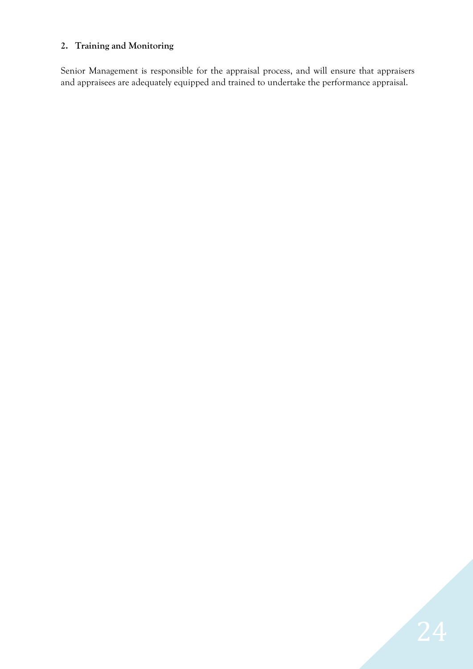### **2. Training and Monitoring**

Senior Management is responsible for the appraisal process, and will ensure that appraisers and appraisees are adequately equipped and trained to undertake the performance appraisal.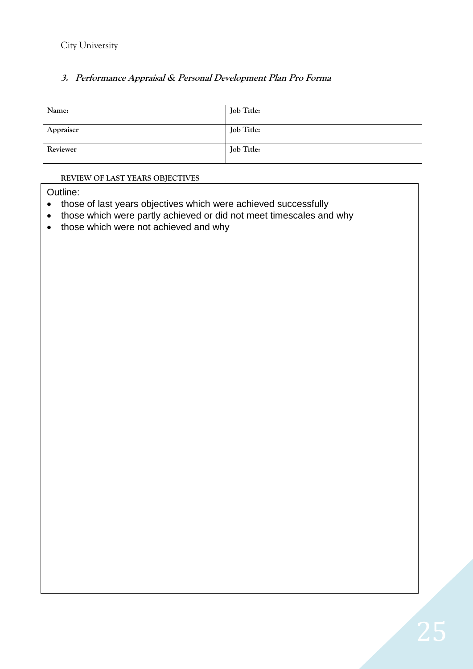City University

### **3. Performance Appraisal & Personal Development Plan Pro Forma**

| Name:     | Job Title: |
|-----------|------------|
| Appraiser | Job Title: |
| Reviewer  | Job Title: |

#### **REVIEW OF LAST YEARS OBJECTIVES**

Outline:

- those of last years objectives which were achieved successfully
- those which were partly achieved or did not meet timescales and why
- those which were not achieved and why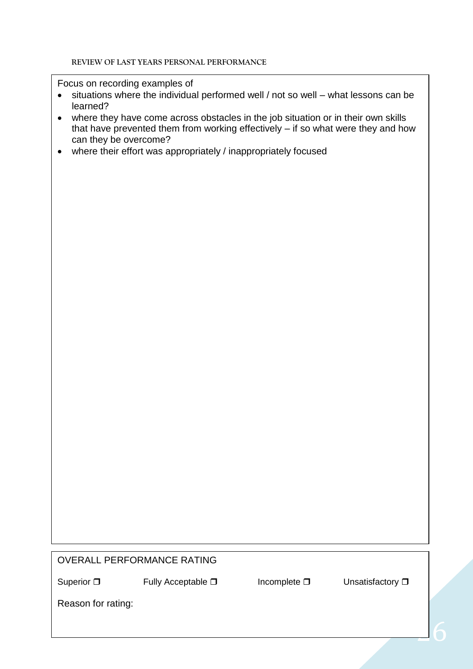Focus on recording examples of

- situations where the individual performed well / not so well what lessons can be learned?
- where they have come across obstacles in the job situation or in their own skills that have prevented them from working effectively – if so what were they and how can they be overcome?
- where their effort was appropriately / inappropriately focused

### OVERALL PERFORMANCE RATING



Superior  $\Box$  Fully Acceptable  $\Box$  Incomplete  $\Box$  Unsatisfactory  $\Box$ 

Reason for rating: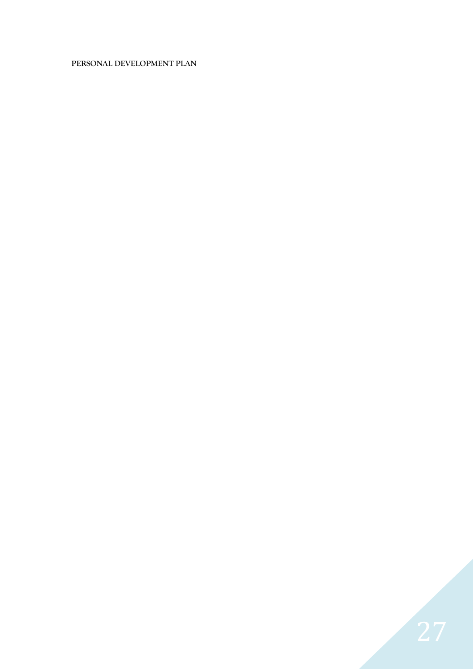#### **PERSONAL DEVELOPMENT PLAN**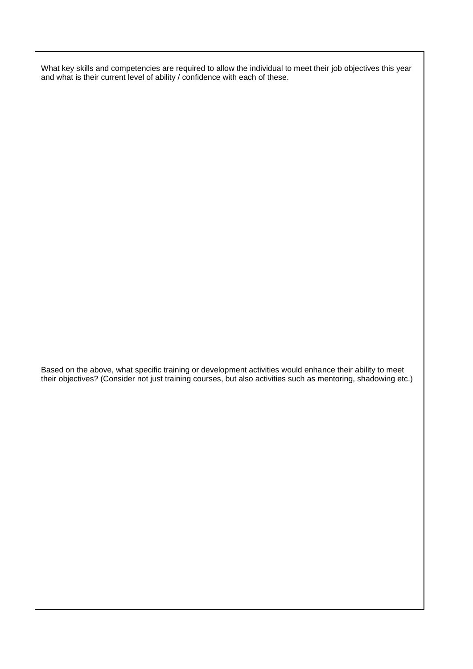What key skills and competencies are required to allow the individual to meet their job objectives this year and what is their current level of ability / confidence with each of these.

Based on the above, what specific training or development activities would enhance their ability to meet their objectives? (Consider not just training courses, but also activities such as mentoring, shadowing etc.)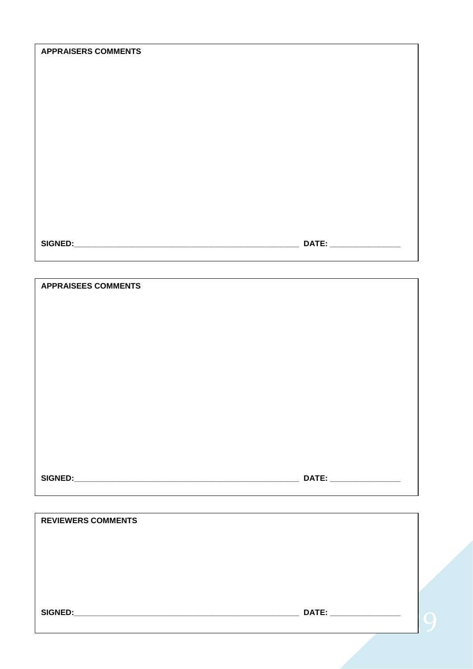| DATE: _________________   |  |
|---------------------------|--|
|                           |  |
|                           |  |
| <b>REVIEWERS COMMENTS</b> |  |
|                           |  |

G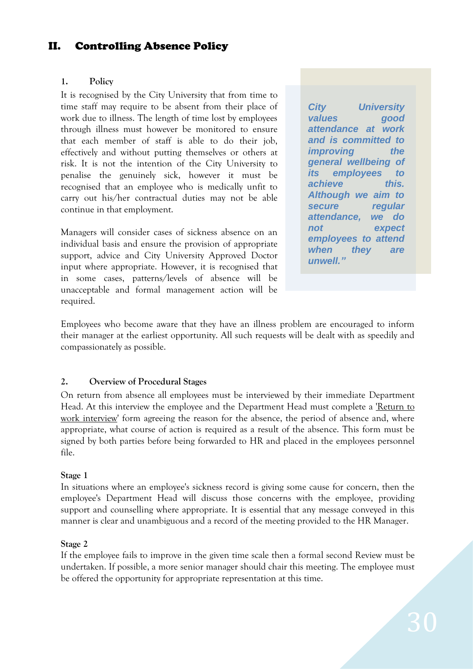### II. Controlling Absence Policy

#### **1. Policy**

It is recognised by the City University that from time to time staff may require to be absent from their place of work due to illness. The length of time lost by employees through illness must however be monitored to ensure that each member of staff is able to do their job, effectively and without putting themselves or others at risk. It is not the intention of the City University to penalise the genuinely sick, however it must be recognised that an employee who is medically unfit to carry out his/her contractual duties may not be able continue in that employment.

Managers will consider cases of sickness absence on an individual basis and ensure the provision of appropriate support, advice and City University Approved Doctor input where appropriate. However, it is recognised that in some cases, patterns/levels of absence will be unacceptable and formal management action will be required.

*City University values good attendance at work and is committed to improving* the *general wellbeing of its employees to achieve this. Although we aim to secure regular attendance, we do not expect employees to attend when they are unwell."*

Employees who become aware that they have an illness problem are encouraged to inform their manager at the earliest opportunity. All such requests will be dealt with as speedily and compassionately as possible.

#### **2. Overview of Procedural Stages**

On return from absence all employees must be interviewed by their immediate Department Head. At this interview the employee and the Department Head must complete a 'Return to work interview' form agreeing the reason for the absence, the period of absence and, where appropriate, what course of action is required as a result of the absence. This form must be signed by both parties before being forwarded to HR and placed in the employees personnel file.

#### **Stage 1**

In situations where an employee's sickness record is giving some cause for concern, then the employee's Department Head will discuss those concerns with the employee, providing support and counselling where appropriate. It is essential that any message conveyed in this manner is clear and unambiguous and a record of the meeting provided to the HR Manager.

#### **Stage 2**

If the employee fails to improve in the given time scale then a formal second Review must be undertaken. If possible, a more senior manager should chair this meeting. The employee must be offered the opportunity for appropriate representation at this time.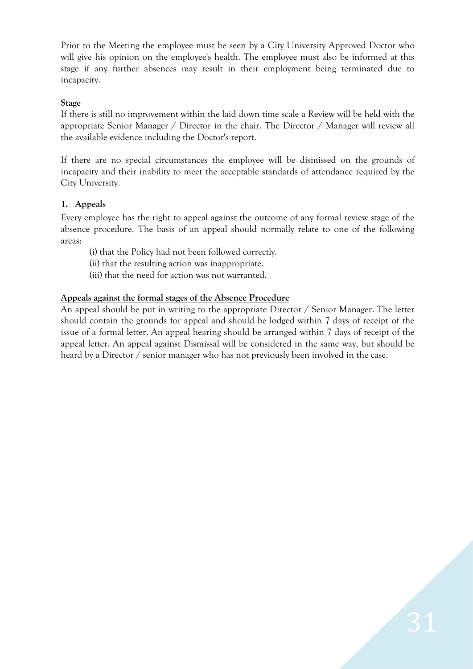Prior to the Meeting the employee must be seen by a City University Approved Doctor who will give his opinion on the employee's health. The employee must also be informed at this stage if any further absences may result in their employment being terminated due to incapacity.

#### **Stage**

If there is still no improvement within the laid down time scale a Review will be held with the appropriate Senior Manager / Director in the chair. The Director / Manager will review all the available evidence including the Doctor's report.

If there are no special circumstances the employee will be dismissed on the grounds of incapacity and their inability to meet the acceptable standards of attendance required by the City University.

#### **1. Appeals**

Every employee has the right to appeal against the outcome of any formal review stage of the absence procedure. The basis of an appeal should normally relate to one of the following areas:

(i) that the Policy had not been followed correctly.

(ii) that the resulting action was inappropriate.

(iii) that the need for action was not warranted.

#### **Appeals against the formal stages of the Absence Procedure**

An appeal should be put in writing to the appropriate Director / Senior Manager. The letter should contain the grounds for appeal and should be lodged within 7 days of receipt of the issue of a formal letter. An appeal hearing should be arranged within 7 days of receipt of the appeal letter. An appeal against Dismissal will be considered in the same way, but should be heard by a Director / senior manager who has not previously been involved in the case.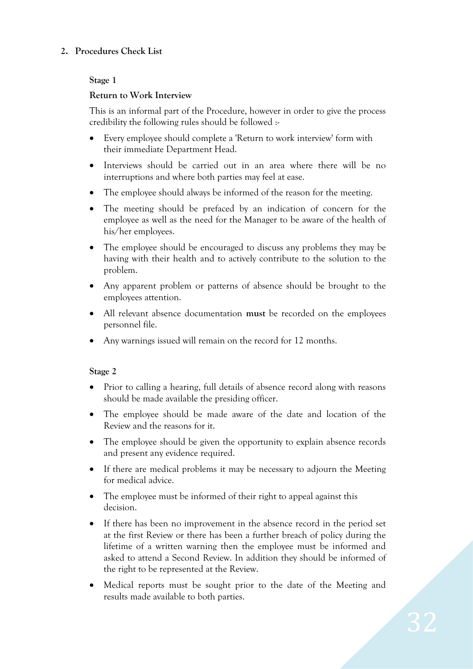#### **2. Procedures Check List**

#### **Stage 1**

#### **Return to Work Interview**

This is an informal part of the Procedure, however in order to give the process credibility the following rules should be followed :-

- Every employee should complete a 'Return to work interview' form with their immediate Department Head.
- Interviews should be carried out in an area where there will be no interruptions and where both parties may feel at ease.
- The employee should always be informed of the reason for the meeting.
- The meeting should be prefaced by an indication of concern for the employee as well as the need for the Manager to be aware of the health of his/her employees.
- The employee should be encouraged to discuss any problems they may be having with their health and to actively contribute to the solution to the problem.
- Any apparent problem or patterns of absence should be brought to the employees attention.
- All relevant absence documentation **must** be recorded on the employees personnel file.
- Any warnings issued will remain on the record for 12 months.

#### **Stage 2**

- Prior to calling a hearing, full details of absence record along with reasons should be made available the presiding officer.
- The employee should be made aware of the date and location of the Review and the reasons for it.
- The employee should be given the opportunity to explain absence records and present any evidence required.
- If there are medical problems it may be necessary to adjourn the Meeting for medical advice.
- The employee must be informed of their right to appeal against this decision.
- If there has been no improvement in the absence record in the period set at the first Review or there has been a further breach of policy during the lifetime of a written warning then the employee must be informed and asked to attend a Second Review. In addition they should be informed of the right to be represented at the Review.
- Medical reports must be sought prior to the date of the Meeting and results made available to both parties.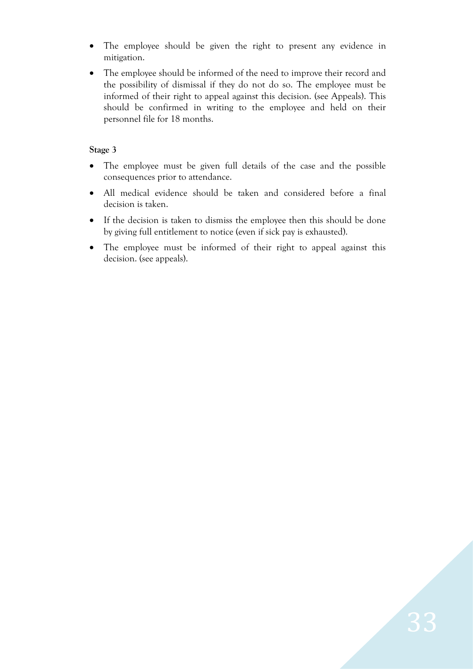- The employee should be given the right to present any evidence in mitigation.
- The employee should be informed of the need to improve their record and the possibility of dismissal if they do not do so. The employee must be informed of their right to appeal against this decision. (see Appeals). This should be confirmed in writing to the employee and held on their personnel file for 18 months.

#### **Stage 3**

- The employee must be given full details of the case and the possible consequences prior to attendance.
- All medical evidence should be taken and considered before a final decision is taken.
- If the decision is taken to dismiss the employee then this should be done by giving full entitlement to notice (even if sick pay is exhausted).
- The employee must be informed of their right to appeal against this decision. (see appeals).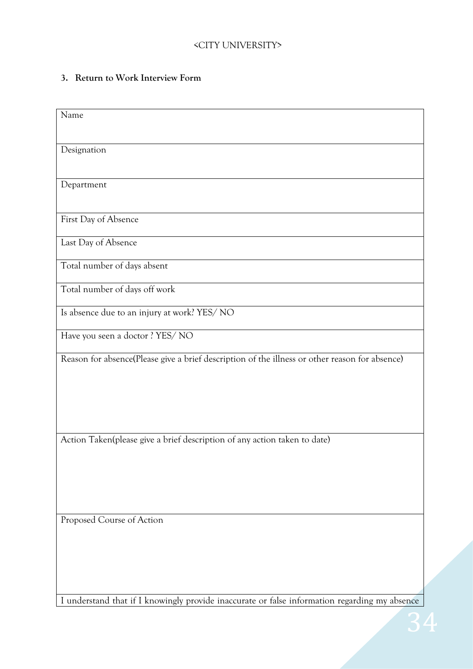### **3. Return to Work Interview Form**

| Name                                                                                           |
|------------------------------------------------------------------------------------------------|
|                                                                                                |
| Designation                                                                                    |
|                                                                                                |
| Department                                                                                     |
|                                                                                                |
| First Day of Absence                                                                           |
| Last Day of Absence                                                                            |
| Total number of days absent                                                                    |
| Total number of days off work                                                                  |
| Is absence due to an injury at work? YES/ NO                                                   |
| Have you seen a doctor ? YES/NO                                                                |
| Reason for absence(Please give a brief description of the illness or other reason for absence) |
|                                                                                                |
|                                                                                                |
|                                                                                                |
| Action Taken(please give a brief description of any action taken to date)                      |
|                                                                                                |
|                                                                                                |
|                                                                                                |
| Proposed Course of Action                                                                      |
|                                                                                                |
|                                                                                                |
|                                                                                                |
|                                                                                                |
| I understand that if I knowingly provide inaccurate or false information regarding my absence  |

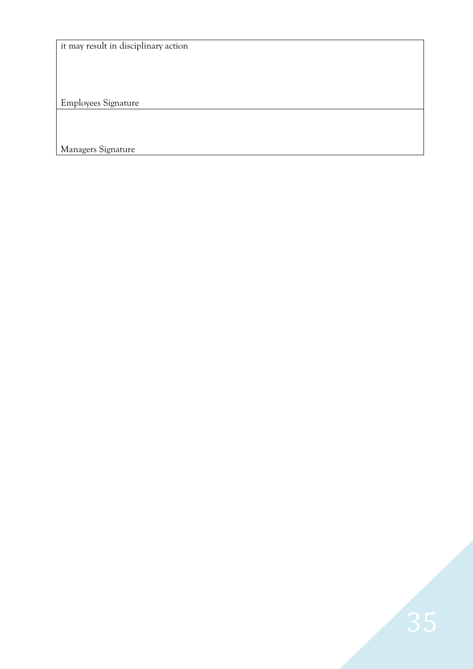it may result in disciplinary action

Employees Signature

Managers Signature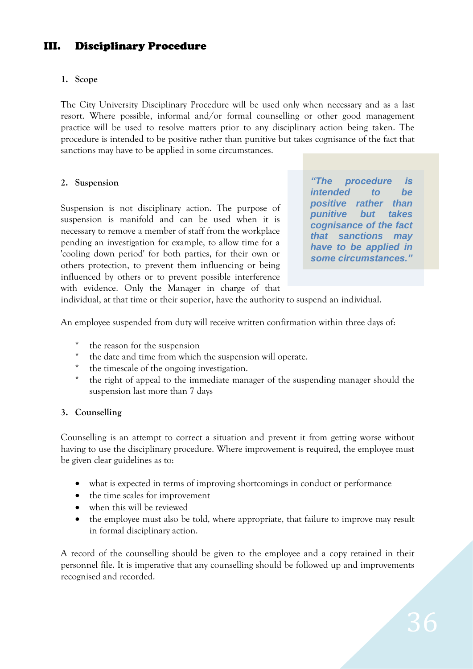# III. Disciplinary Procedure

#### **1. Scope**

The City University Disciplinary Procedure will be used only when necessary and as a last resort. Where possible, informal and/or formal counselling or other good management practice will be used to resolve matters prior to any disciplinary action being taken. The procedure is intended to be positive rather than punitive but takes cognisance of the fact that sanctions may have to be applied in some circumstances.

#### **2. Suspension**

Suspension is not disciplinary action. The purpose of suspension is manifold and can be used when it is necessary to remove a member of staff from the workplace pending an investigation for example, to allow time for a 'cooling down period' for both parties, for their own or others protection, to prevent them influencing or being influenced by others or to prevent possible interference with evidence. Only the Manager in charge of that

*"The procedure is intended to be positive rather than punitive but takes cognisance of the fact that sanctions may have to be applied in some circumstances."*

individual, at that time or their superior, have the authority to suspend an individual.

An employee suspended from duty will receive written confirmation within three days of:

- \* the reason for the suspension
- the date and time from which the suspension will operate.
- the timescale of the ongoing investigation.
- \* the right of appeal to the immediate manager of the suspending manager should the suspension last more than 7 days

#### **3. Counselling**

Counselling is an attempt to correct a situation and prevent it from getting worse without having to use the disciplinary procedure. Where improvement is required, the employee must be given clear guidelines as to:

- what is expected in terms of improving shortcomings in conduct or performance
- the time scales for improvement
- when this will be reviewed
- the employee must also be told, where appropriate, that failure to improve may result in formal disciplinary action.

A record of the counselling should be given to the employee and a copy retained in their personnel file. It is imperative that any counselling should be followed up and improvements recognised and recorded.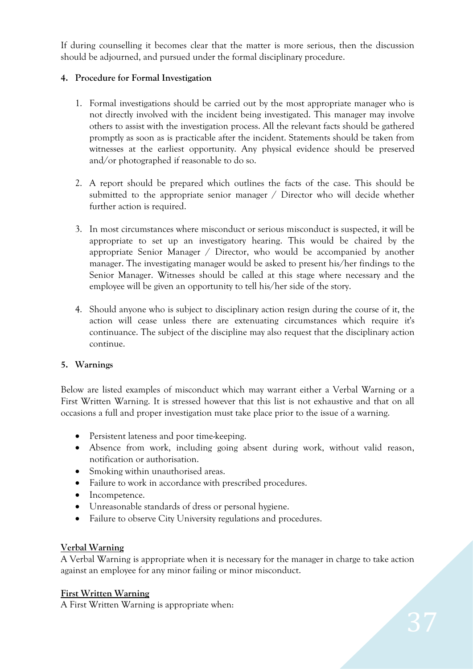If during counselling it becomes clear that the matter is more serious, then the discussion should be adjourned, and pursued under the formal disciplinary procedure.

### **4. Procedure for Formal Investigation**

- 1. Formal investigations should be carried out by the most appropriate manager who is not directly involved with the incident being investigated. This manager may involve others to assist with the investigation process. All the relevant facts should be gathered promptly as soon as is practicable after the incident. Statements should be taken from witnesses at the earliest opportunity. Any physical evidence should be preserved and/or photographed if reasonable to do so.
- 2. A report should be prepared which outlines the facts of the case. This should be submitted to the appropriate senior manager / Director who will decide whether further action is required.
- 3. In most circumstances where misconduct or serious misconduct is suspected, it will be appropriate to set up an investigatory hearing. This would be chaired by the appropriate Senior Manager / Director, who would be accompanied by another manager. The investigating manager would be asked to present his/her findings to the Senior Manager. Witnesses should be called at this stage where necessary and the employee will be given an opportunity to tell his/her side of the story.
- 4. Should anyone who is subject to disciplinary action resign during the course of it, the action will cease unless there are extenuating circumstances which require it's continuance. The subject of the discipline may also request that the disciplinary action continue.

#### **5. Warnings**

Below are listed examples of misconduct which may warrant either a Verbal Warning or a First Written Warning. It is stressed however that this list is not exhaustive and that on all occasions a full and proper investigation must take place prior to the issue of a warning.

- Persistent lateness and poor time-keeping.
- Absence from work, including going absent during work, without valid reason, notification or authorisation.
- Smoking within unauthorised areas.
- Failure to work in accordance with prescribed procedures.
- Incompetence.
- Unreasonable standards of dress or personal hygiene.
- Failure to observe City University regulations and procedures.

#### **Verbal Warning**

A Verbal Warning is appropriate when it is necessary for the manager in charge to take action against an employee for any minor failing or minor misconduct.

#### **First Written Warning**

A First Written Warning is appropriate when: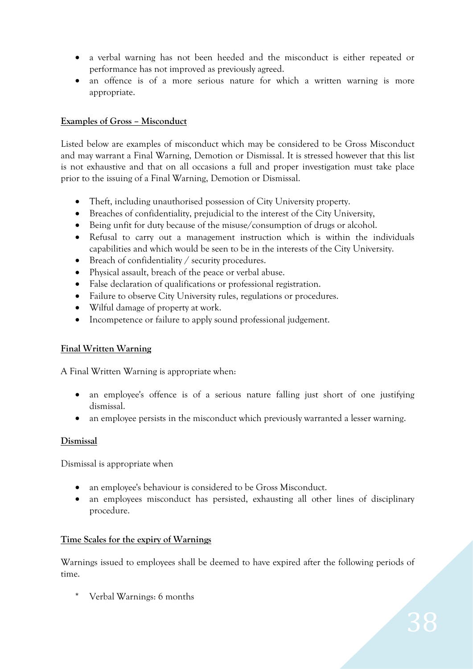- a verbal warning has not been heeded and the misconduct is either repeated or performance has not improved as previously agreed.
- an offence is of a more serious nature for which a written warning is more appropriate.

#### **Examples of Gross – Misconduct**

Listed below are examples of misconduct which may be considered to be Gross Misconduct and may warrant a Final Warning, Demotion or Dismissal. It is stressed however that this list is not exhaustive and that on all occasions a full and proper investigation must take place prior to the issuing of a Final Warning, Demotion or Dismissal.

- Theft, including unauthorised possession of City University property.
- Breaches of confidentiality, prejudicial to the interest of the City University,
- Being unfit for duty because of the misuse/consumption of drugs or alcohol.
- Refusal to carry out a management instruction which is within the individuals capabilities and which would be seen to be in the interests of the City University.
- Breach of confidentiality / security procedures.
- Physical assault, breach of the peace or verbal abuse.
- False declaration of qualifications or professional registration.
- Failure to observe City University rules, regulations or procedures.
- Wilful damage of property at work.
- Incompetence or failure to apply sound professional judgement.

#### **Final Written Warning**

A Final Written Warning is appropriate when:

- an employee's offence is of a serious nature falling just short of one justifying dismissal.
- an employee persists in the misconduct which previously warranted a lesser warning.

#### **Dismissal**

Dismissal is appropriate when

- an employee's behaviour is considered to be Gross Misconduct.
- an employees misconduct has persisted, exhausting all other lines of disciplinary procedure.

#### **Time Scales for the expiry of Warnings**

Warnings issued to employees shall be deemed to have expired after the following periods of time.

Verbal Warnings: 6 months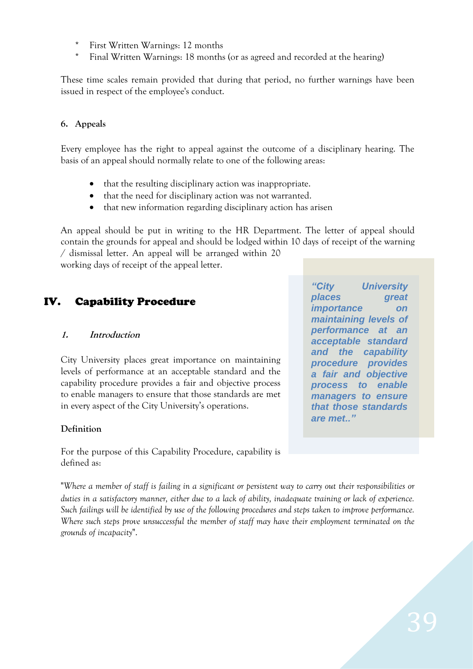- First Written Warnings: 12 months
- Final Written Warnings: 18 months (or as agreed and recorded at the hearing)

These time scales remain provided that during that period, no further warnings have been issued in respect of the employee's conduct.

### **6. Appeals**

Every employee has the right to appeal against the outcome of a disciplinary hearing. The basis of an appeal should normally relate to one of the following areas:

- that the resulting disciplinary action was inappropriate.
- that the need for disciplinary action was not warranted.
- that new information regarding disciplinary action has arisen

An appeal should be put in writing to the HR Department. The letter of appeal should contain the grounds for appeal and should be lodged within 10 days of receipt of the warning

/ dismissal letter. An appeal will be arranged within 20 working days of receipt of the appeal letter.

### IV. Capability Procedure

#### **1. Introduction**

City University places great importance on maintaining levels of performance at an acceptable standard and the capability procedure provides a fair and objective process to enable managers to ensure that those standards are met in every aspect of the City University's operations.

#### **Definition**

For the purpose of this Capability Procedure, capability is defined as:

"*Where a member of staff is failing in a significant or persistent way to carry out their responsibilities or duties in a satisfactory manner, either due to a lack of ability, inadequate training or lack of experience. Such failings will be identified by use of the following procedures and steps taken to improve performance. Where such steps prove unsuccessful the member of staff may have their employment terminated on the grounds of incapacity*".

*"City University places great importance on maintaining levels of performance at an acceptable standard and the capability procedure provides a fair and objective process to enable managers to ensure that those standards are met.."*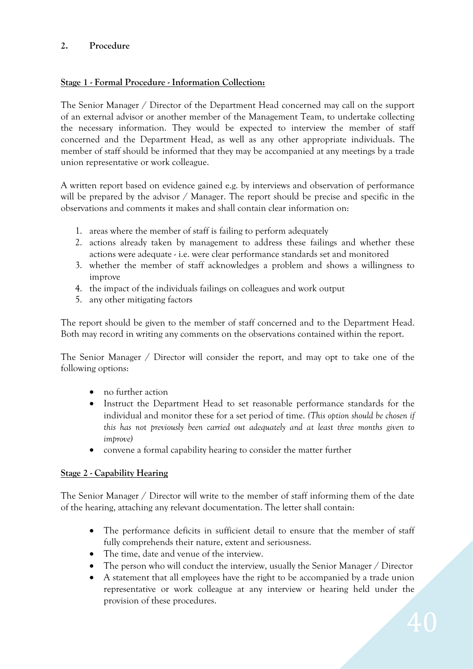### **2. Procedure**

### **Stage 1 - Formal Procedure - Information Collection:**

The Senior Manager / Director of the Department Head concerned may call on the support of an external advisor or another member of the Management Team, to undertake collecting the necessary information. They would be expected to interview the member of staff concerned and the Department Head, as well as any other appropriate individuals. The member of staff should be informed that they may be accompanied at any meetings by a trade union representative or work colleague.

A written report based on evidence gained e.g. by interviews and observation of performance will be prepared by the advisor / Manager. The report should be precise and specific in the observations and comments it makes and shall contain clear information on:

- 1. areas where the member of staff is failing to perform adequately
- 2. actions already taken by management to address these failings and whether these actions were adequate - i.e. were clear performance standards set and monitored
- 3. whether the member of staff acknowledges a problem and shows a willingness to improve
- 4. the impact of the individuals failings on colleagues and work output
- 5. any other mitigating factors

The report should be given to the member of staff concerned and to the Department Head. Both may record in writing any comments on the observations contained within the report.

The Senior Manager / Director will consider the report, and may opt to take one of the following options:

- no further action
- Instruct the Department Head to set reasonable performance standards for the individual and monitor these for a set period of time. *(This option should be chosen if this has not previously been carried out adequately and at least three months given to improve)*
- convene a formal capability hearing to consider the matter further

#### **Stage 2 - Capability Hearing**

The Senior Manager / Director will write to the member of staff informing them of the date of the hearing, attaching any relevant documentation. The letter shall contain:

- The performance deficits in sufficient detail to ensure that the member of staff fully comprehends their nature, extent and seriousness.
- The time, date and venue of the interview.
- The person who will conduct the interview, usually the Senior Manager / Director
- A statement that all employees have the right to be accompanied by a trade union representative or work colleague at any interview or hearing held under the provision of these procedures.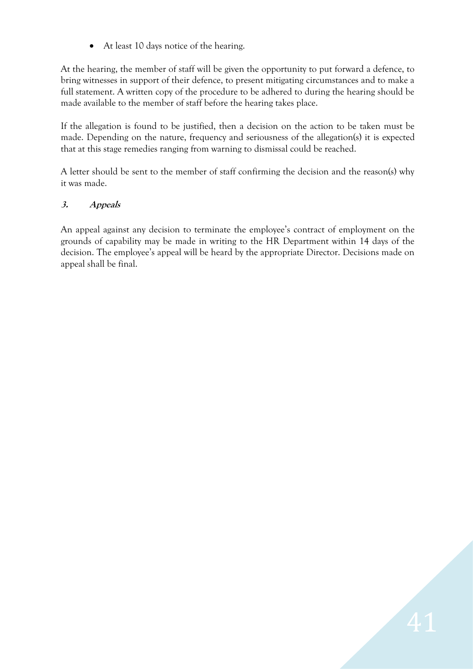At least 10 days notice of the hearing.

At the hearing, the member of staff will be given the opportunity to put forward a defence, to bring witnesses in support of their defence, to present mitigating circumstances and to make a full statement. A written copy of the procedure to be adhered to during the hearing should be made available to the member of staff before the hearing takes place.

If the allegation is found to be justified, then a decision on the action to be taken must be made. Depending on the nature, frequency and seriousness of the allegation(s) it is expected that at this stage remedies ranging from warning to dismissal could be reached.

A letter should be sent to the member of staff confirming the decision and the reason(s) why it was made.

### **3. Appeals**

An appeal against any decision to terminate the employee's contract of employment on the grounds of capability may be made in writing to the HR Department within 14 days of the decision. The employee's appeal will be heard by the appropriate Director. Decisions made on appeal shall be final.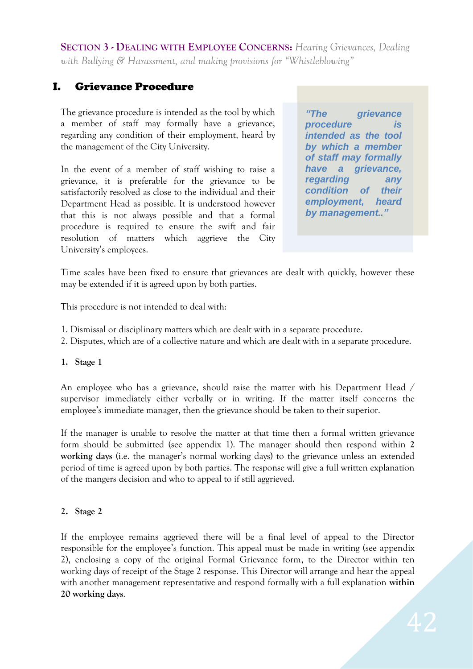**SECTION 3 - DEALING WITH EMPLOYEE CONCERNS:** *Hearing Grievances, Dealing with Bullying & Harassment, and making provisions for "Whistleblowing"*

# I. Grievance Procedure

The grievance procedure is intended as the tool by which a member of staff may formally have a grievance, regarding any condition of their employment, heard by the management of the City University.

In the event of a member of staff wishing to raise a grievance, it is preferable for the grievance to be satisfactorily resolved as close to the individual and their Department Head as possible. It is understood however that this is not always possible and that a formal procedure is required to ensure the swift and fair resolution of matters which aggrieve the City University's employees.

*"The grievance procedure is intended as the tool by which a member of staff may formally have a grievance, regarding any condition of their employment, heard by management.."*

Time scales have been fixed to ensure that grievances are dealt with quickly, however these may be extended if it is agreed upon by both parties.

This procedure is not intended to deal with:

- 1. Dismissal or disciplinary matters which are dealt with in a separate procedure.
- 2. Disputes, which are of a collective nature and which are dealt with in a separate procedure.

#### **1. Stage 1**

An employee who has a grievance, should raise the matter with his Department Head / supervisor immediately either verbally or in writing. If the matter itself concerns the employee's immediate manager, then the grievance should be taken to their superior.

If the manager is unable to resolve the matter at that time then a formal written grievance form should be submitted (see appendix 1). The manager should then respond within **2 working days** (i.e. the manager's normal working days) to the grievance unless an extended period of time is agreed upon by both parties. The response will give a full written explanation of the mangers decision and who to appeal to if still aggrieved.

#### **2. Stage 2**

If the employee remains aggrieved there will be a final level of appeal to the Director responsible for the employee's function. This appeal must be made in writing (see appendix 2), enclosing a copy of the original Formal Grievance form, to the Director within ten working days of receipt of the Stage 2 response. This Director will arrange and hear the appeal with another management representative and respond formally with a full explanation **within 20 working days**.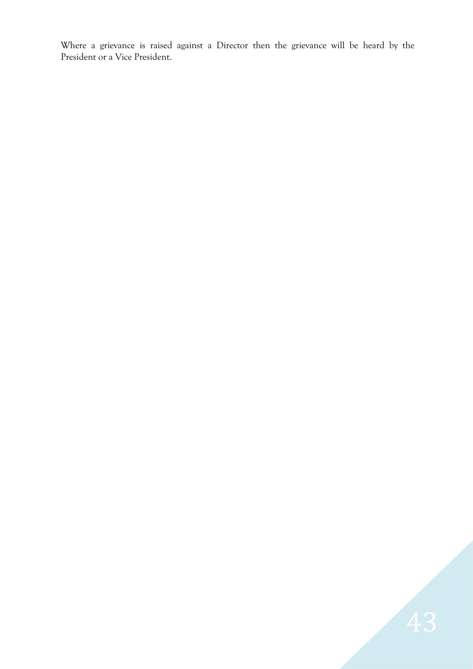Where a grievance is raised against a Director then the grievance will be heard by the President or a Vice President.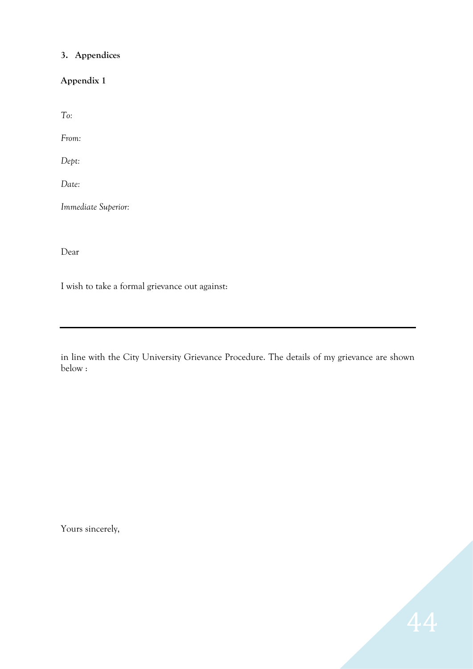### **3. Appendices**

**Appendix 1**

*To:*

*From:*

*Dept:*

*Date:*

*Immediate Superior:*

Dear

I wish to take a formal grievance out against:

in line with the City University Grievance Procedure. The details of my grievance are shown below :

Yours sincerely,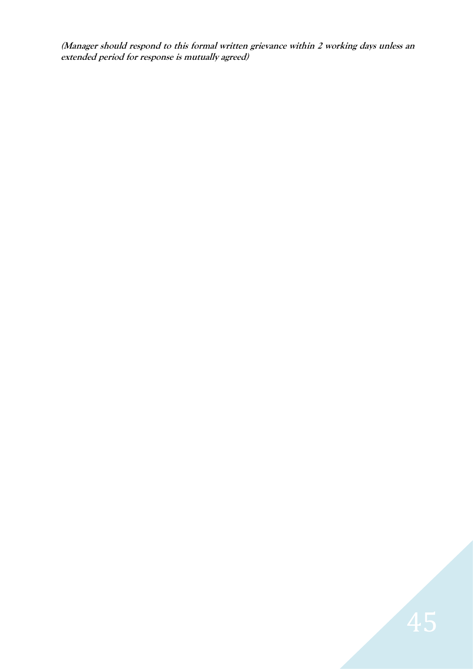**(Manager should respond to this formal written grievance within 2 working days unless an extended period for response is mutually agreed)**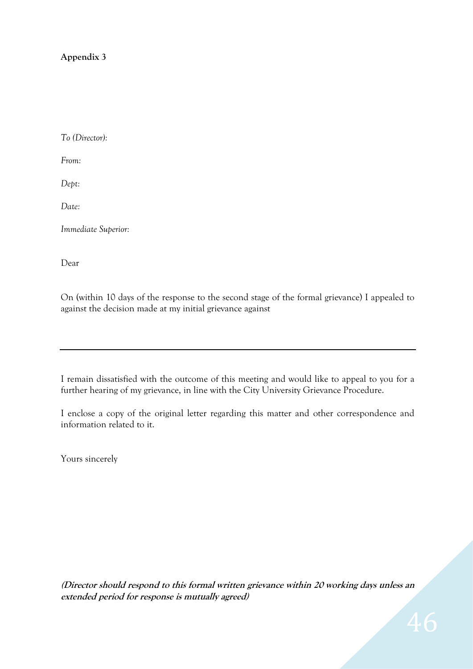### **Appendix 3**

*To (Director):*

*From:*

*Dept:*

*Date:*

*Immediate Superior:*

Dear

On (within 10 days of the response to the second stage of the formal grievance) I appealed to against the decision made at my initial grievance against

I remain dissatisfied with the outcome of this meeting and would like to appeal to you for a further hearing of my grievance, in line with the City University Grievance Procedure.

I enclose a copy of the original letter regarding this matter and other correspondence and information related to it.

Yours sincerely

**(Director should respond to this formal written grievance within 20 working days unless an extended period for response is mutually agreed)**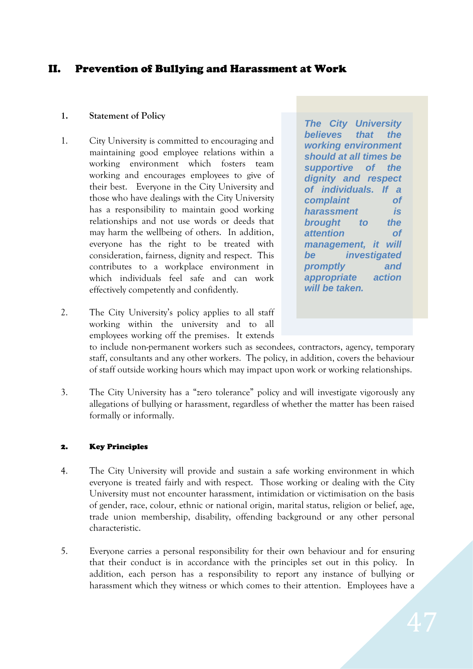### II. Prevention of Bullying and Harassment at Work

#### **1. Statement of Policy**

1. City University is committed to encouraging and maintaining good employee relations within a working environment which fosters team working and encourages employees to give of their best. Everyone in the City University and those who have dealings with the City University has a responsibility to maintain good working relationships and not use words or deeds that may harm the wellbeing of others. In addition, everyone has the right to be treated with consideration, fairness, dignity and respect. This contributes to a workplace environment in which individuals feel safe and can work effectively competently and confidently.

*The City University believes that the working environment should at all times be supportive of the dignity and respect of individuals. If a complaint of harassment is brought to the attention of management, it will be investigated promptly and appropriate action will be taken.*

2. The City University's policy applies to all staff working within the university and to all employees working off the premises. It extends

to include non-permanent workers such as secondees, contractors, agency, temporary staff, consultants and any other workers. The policy, in addition, covers the behaviour of staff outside working hours which may impact upon work or working relationships.

3. The City University has a "zero tolerance" policy and will investigate vigorously any allegations of bullying or harassment, regardless of whether the matter has been raised formally or informally.

#### 2. Key Principles

- 4. The City University will provide and sustain a safe working environment in which everyone is treated fairly and with respect. Those working or dealing with the City University must not encounter harassment, intimidation or victimisation on the basis of gender, race, colour, ethnic or national origin, marital status, religion or belief, age, trade union membership, disability, offending background or any other personal characteristic.
- 5. Everyone carries a personal responsibility for their own behaviour and for ensuring that their conduct is in accordance with the principles set out in this policy. In addition, each person has a responsibility to report any instance of bullying or harassment which they witness or which comes to their attention. Employees have a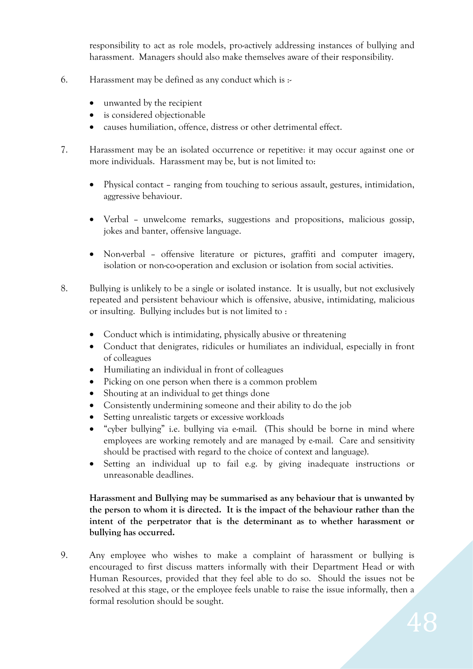responsibility to act as role models, pro-actively addressing instances of bullying and harassment. Managers should also make themselves aware of their responsibility.

- 6. Harassment may be defined as any conduct which is  $\cdot$ 
	- unwanted by the recipient
	- is considered objectionable
	- causes humiliation, offence, distress or other detrimental effect.
- 7. Harassment may be an isolated occurrence or repetitive: it may occur against one or more individuals. Harassment may be, but is not limited to:
	- Physical contact ranging from touching to serious assault, gestures, intimidation, aggressive behaviour.
	- Verbal unwelcome remarks, suggestions and propositions, malicious gossip, jokes and banter, offensive language.
	- Non-verbal offensive literature or pictures, graffiti and computer imagery, isolation or non-co-operation and exclusion or isolation from social activities.
- 8. Bullying is unlikely to be a single or isolated instance. It is usually, but not exclusively repeated and persistent behaviour which is offensive, abusive, intimidating, malicious or insulting. Bullying includes but is not limited to :
	- Conduct which is intimidating, physically abusive or threatening
	- Conduct that denigrates, ridicules or humiliates an individual, especially in front of colleagues
	- Humiliating an individual in front of colleagues
	- Picking on one person when there is a common problem
	- Shouting at an individual to get things done
	- Consistently undermining someone and their ability to do the job
	- Setting unrealistic targets or excessive workloads
	- "cyber bullying" i.e. bullying via e-mail. (This should be borne in mind where employees are working remotely and are managed by e-mail. Care and sensitivity should be practised with regard to the choice of context and language).
	- Setting an individual up to fail e.g. by giving inadequate instructions or unreasonable deadlines.

### **Harassment and Bullying may be summarised as any behaviour that is unwanted by the person to whom it is directed. It is the impact of the behaviour rather than the intent of the perpetrator that is the determinant as to whether harassment or bullying has occurred.**

9. Any employee who wishes to make a complaint of harassment or bullying is encouraged to first discuss matters informally with their Department Head or with Human Resources, provided that they feel able to do so. Should the issues not be resolved at this stage, or the employee feels unable to raise the issue informally, then a formal resolution should be sought.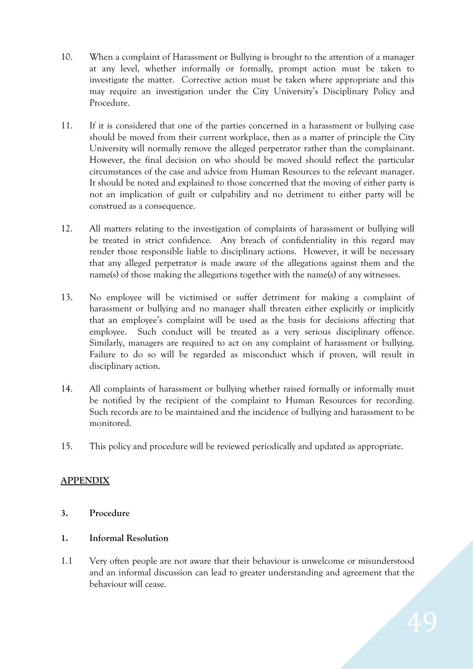- 10. When a complaint of Harassment or Bullying is brought to the attention of a manager at any level, whether informally or formally, prompt action must be taken to investigate the matter. Corrective action must be taken where appropriate and this may require an investigation under the City University's Disciplinary Policy and Procedure.
- 11. If it is considered that one of the parties concerned in a harassment or bullying case should be moved from their current workplace, then as a matter of principle the City University will normally remove the alleged perpetrator rather than the complainant. However, the final decision on who should be moved should reflect the particular circumstances of the case and advice from Human Resources to the relevant manager. It should be noted and explained to those concerned that the moving of either party is not an implication of guilt or culpability and no detriment to either party will be construed as a consequence.
- 12. All matters relating to the investigation of complaints of harassment or bullying will be treated in strict confidence. Any breach of confidentiality in this regard may render those responsible liable to disciplinary actions. However, it will be necessary that any alleged perpetrator is made aware of the allegations against them and the name(s) of those making the allegations together with the name(s) of any witnesses.
- 13. No employee will be victimised or suffer detriment for making a complaint of harassment or bullying and no manager shall threaten either explicitly or implicitly that an employee's complaint will be used as the basis for decisions affecting that employee. Such conduct will be treated as a very serious disciplinary offence. Similarly, managers are required to act on any complaint of harassment or bullying. Failure to do so will be regarded as misconduct which if proven, will result in disciplinary action.
- 14. All complaints of harassment or bullying whether raised formally or informally must be notified by the recipient of the complaint to Human Resources for recording. Such records are to be maintained and the incidence of bullying and harassment to be monitored.
- 15. This policy and procedure will be reviewed periodically and updated as appropriate.

### **APPENDIX**

**3. Procedure**

### **1. Informal Resolution**

1.1 Very often people are not aware that their behaviour is unwelcome or misunderstood and an informal discussion can lead to greater understanding and agreement that the behaviour will cease.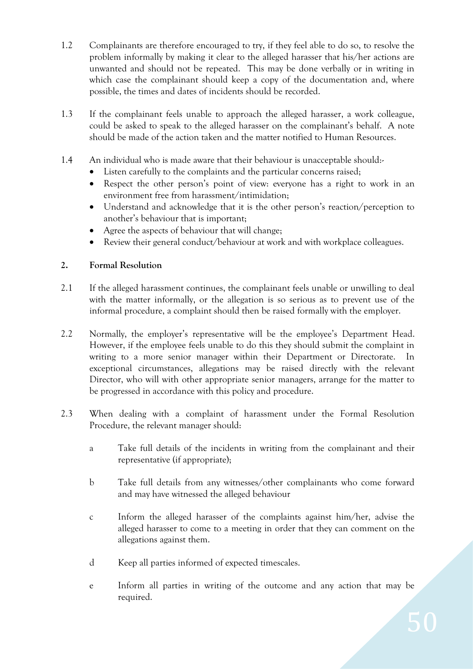- 1.2 Complainants are therefore encouraged to try, if they feel able to do so, to resolve the problem informally by making it clear to the alleged harasser that his/her actions are unwanted and should not be repeated. This may be done verbally or in writing in which case the complainant should keep a copy of the documentation and, where possible, the times and dates of incidents should be recorded.
- 1.3 If the complainant feels unable to approach the alleged harasser, a work colleague, could be asked to speak to the alleged harasser on the complainant's behalf. A note should be made of the action taken and the matter notified to Human Resources.
- 1.4 An individual who is made aware that their behaviour is unacceptable should:-
	- Listen carefully to the complaints and the particular concerns raised;
	- Respect the other person's point of view: everyone has a right to work in an environment free from harassment/intimidation;
	- Understand and acknowledge that it is the other person's reaction/perception to another's behaviour that is important;
	- Agree the aspects of behaviour that will change;
	- Review their general conduct/behaviour at work and with workplace colleagues.

#### **2. Formal Resolution**

- 2.1 If the alleged harassment continues, the complainant feels unable or unwilling to deal with the matter informally, or the allegation is so serious as to prevent use of the informal procedure, a complaint should then be raised formally with the employer.
- 2.2 Normally, the employer's representative will be the employee's Department Head. However, if the employee feels unable to do this they should submit the complaint in writing to a more senior manager within their Department or Directorate. In exceptional circumstances, allegations may be raised directly with the relevant Director, who will with other appropriate senior managers, arrange for the matter to be progressed in accordance with this policy and procedure.
- 2.3 When dealing with a complaint of harassment under the Formal Resolution Procedure, the relevant manager should:
	- a Take full details of the incidents in writing from the complainant and their representative (if appropriate);
	- b Take full details from any witnesses/other complainants who come forward and may have witnessed the alleged behaviour
	- c Inform the alleged harasser of the complaints against him/her, advise the alleged harasser to come to a meeting in order that they can comment on the allegations against them.
	- d Keep all parties informed of expected timescales.
	- e Inform all parties in writing of the outcome and any action that may be required.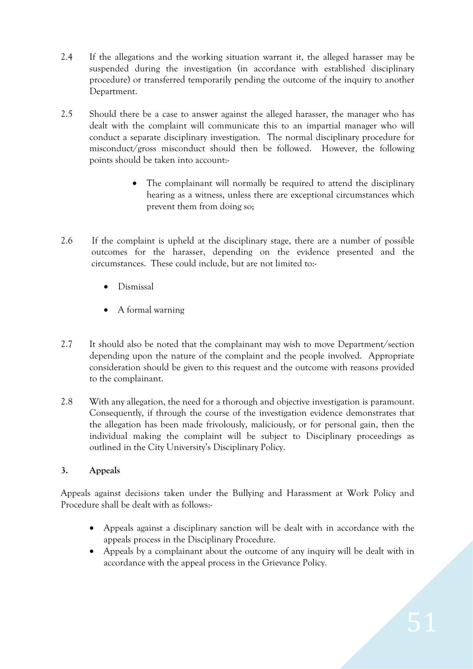- 2.4 If the allegations and the working situation warrant it, the alleged harasser may be suspended during the investigation (in accordance with established disciplinary procedure) or transferred temporarily pending the outcome of the inquiry to another Department.
- 2.5 Should there be a case to answer against the alleged harasser, the manager who has dealt with the complaint will communicate this to an impartial manager who will conduct a separate disciplinary investigation. The normal disciplinary procedure for misconduct/gross misconduct should then be followed. However, the following points should be taken into account:-
	- The complainant will normally be required to attend the disciplinary hearing as a witness, unless there are exceptional circumstances which prevent them from doing so;
- 2.6 If the complaint is upheld at the disciplinary stage, there are a number of possible outcomes for the harasser, depending on the evidence presented and the circumstances. These could include, but are not limited to:-
	- Dismissal
	- A formal warning
- 2.7 It should also be noted that the complainant may wish to move Department/section depending upon the nature of the complaint and the people involved. Appropriate consideration should be given to this request and the outcome with reasons provided to the complainant.
- 2.8 With any allegation, the need for a thorough and objective investigation is paramount. Consequently, if through the course of the investigation evidence demonstrates that the allegation has been made frivolously, maliciously, or for personal gain, then the individual making the complaint will be subject to Disciplinary proceedings as outlined in the City University's Disciplinary Policy.

### **3. Appeals**

Appeals against decisions taken under the Bullying and Harassment at Work Policy and Procedure shall be dealt with as follows:-

- Appeals against a disciplinary sanction will be dealt with in accordance with the appeals process in the Disciplinary Procedure.
- Appeals by a complainant about the outcome of any inquiry will be dealt with in accordance with the appeal process in the Grievance Policy.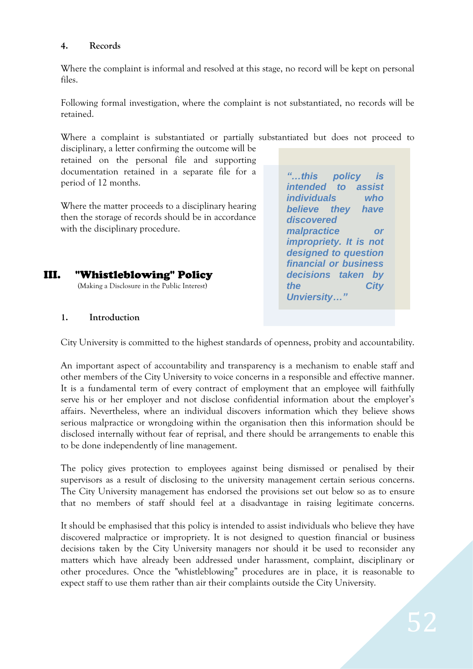#### **4. Records**

Where the complaint is informal and resolved at this stage, no record will be kept on personal files.

Following formal investigation, where the complaint is not substantiated, no records will be retained.

Where a complaint is substantiated or partially substantiated but does not proceed to disciplinary, a letter confirming the outcome will be

retained on the personal file and supporting documentation retained in a separate file for a period of 12 months.

Where the matter proceeds to a disciplinary hearing then the storage of records should be in accordance with the disciplinary procedure.

# III. "Whistleblowing" Policy

(Making a Disclosure in the Public Interest)

*"…this policy is intended to assist individuals who believe they have discovered malpractice or impropriety. It is not designed to question financial or business decisions taken by the City Unviersity…"*

#### **1. Introduction**

City University is committed to the highest standards of openness, probity and accountability.

An important aspect of accountability and transparency is a mechanism to enable staff and other members of the City University to voice concerns in a responsible and effective manner. It is a fundamental term of every contract of employment that an employee will faithfully serve his or her employer and not disclose confidential information about the employer's affairs. Nevertheless, where an individual discovers information which they believe shows serious malpractice or wrongdoing within the organisation then this information should be disclosed internally without fear of reprisal, and there should be arrangements to enable this to be done independently of line management.

The policy gives protection to employees against being dismissed or penalised by their supervisors as a result of disclosing to the university management certain serious concerns. The City University management has endorsed the provisions set out below so as to ensure that no members of staff should feel at a disadvantage in raising legitimate concerns.

It should be emphasised that this policy is intended to assist individuals who believe they have discovered malpractice or impropriety. It is not designed to question financial or business decisions taken by the City University managers nor should it be used to reconsider any matters which have already been addressed under harassment, complaint, disciplinary or other procedures. Once the "whistleblowing" procedures are in place, it is reasonable to expect staff to use them rather than air their complaints outside the City University.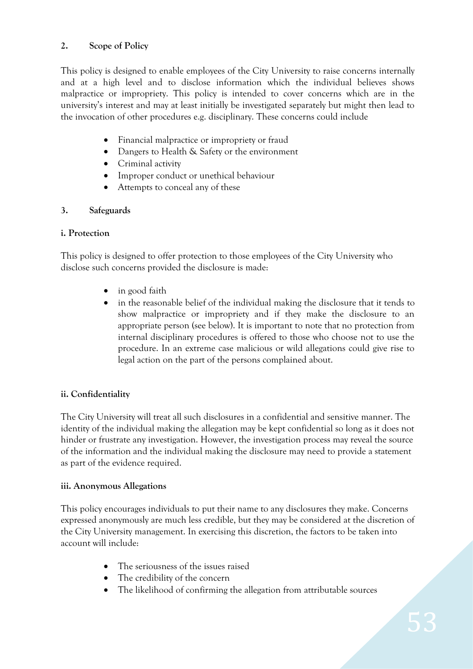### **2. Scope of Policy**

This policy is designed to enable employees of the City University to raise concerns internally and at a high level and to disclose information which the individual believes shows malpractice or impropriety. This policy is intended to cover concerns which are in the university's interest and may at least initially be investigated separately but might then lead to the invocation of other procedures e.g. disciplinary. These concerns could include

- Financial malpractice or impropriety or fraud
- Dangers to Health & Safety or the environment
- Criminal activity
- Improper conduct or unethical behaviour
- Attempts to conceal any of these

#### **3. Safeguards**

#### **i. Protection**

This policy is designed to offer protection to those employees of the City University who disclose such concerns provided the disclosure is made:

- in good faith
- in the reasonable belief of the individual making the disclosure that it tends to show malpractice or impropriety and if they make the disclosure to an appropriate person (see below). It is important to note that no protection from internal disciplinary procedures is offered to those who choose not to use the procedure. In an extreme case malicious or wild allegations could give rise to legal action on the part of the persons complained about.

#### **ii. Confidentiality**

The City University will treat all such disclosures in a confidential and sensitive manner. The identity of the individual making the allegation may be kept confidential so long as it does not hinder or frustrate any investigation. However, the investigation process may reveal the source of the information and the individual making the disclosure may need to provide a statement as part of the evidence required.

#### **iii. Anonymous Allegations**

This policy encourages individuals to put their name to any disclosures they make. Concerns expressed anonymously are much less credible, but they may be considered at the discretion of the City University management. In exercising this discretion, the factors to be taken into account will include:

- The seriousness of the issues raised
- The credibility of the concern
- The likelihood of confirming the allegation from attributable sources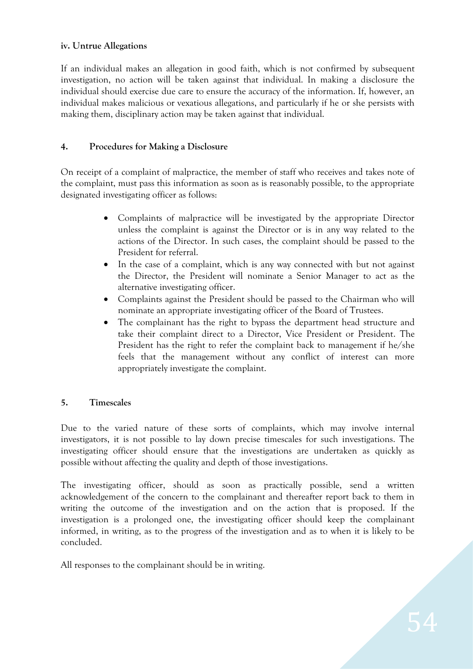#### **iv. Untrue Allegations**

If an individual makes an allegation in good faith, which is not confirmed by subsequent investigation, no action will be taken against that individual. In making a disclosure the individual should exercise due care to ensure the accuracy of the information. If, however, an individual makes malicious or vexatious allegations, and particularly if he or she persists with making them, disciplinary action may be taken against that individual.

#### **4. Procedures for Making a Disclosure**

On receipt of a complaint of malpractice, the member of staff who receives and takes note of the complaint, must pass this information as soon as is reasonably possible, to the appropriate designated investigating officer as follows:

- Complaints of malpractice will be investigated by the appropriate Director unless the complaint is against the Director or is in any way related to the actions of the Director. In such cases, the complaint should be passed to the President for referral.
- In the case of a complaint, which is any way connected with but not against the Director, the President will nominate a Senior Manager to act as the alternative investigating officer.
- Complaints against the President should be passed to the Chairman who will nominate an appropriate investigating officer of the Board of Trustees.
- The complainant has the right to bypass the department head structure and take their complaint direct to a Director, Vice President or President. The President has the right to refer the complaint back to management if he/she feels that the management without any conflict of interest can more appropriately investigate the complaint.

#### **5. Timescales**

Due to the varied nature of these sorts of complaints, which may involve internal investigators, it is not possible to lay down precise timescales for such investigations. The investigating officer should ensure that the investigations are undertaken as quickly as possible without affecting the quality and depth of those investigations.

The investigating officer, should as soon as practically possible, send a written acknowledgement of the concern to the complainant and thereafter report back to them in writing the outcome of the investigation and on the action that is proposed. If the investigation is a prolonged one, the investigating officer should keep the complainant informed, in writing, as to the progress of the investigation and as to when it is likely to be concluded.

All responses to the complainant should be in writing.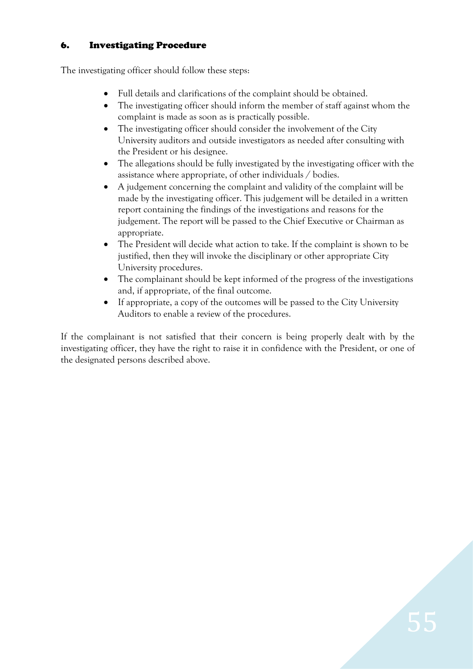### 6. Investigating Procedure

The investigating officer should follow these steps:

- Full details and clarifications of the complaint should be obtained.
- The investigating officer should inform the member of staff against whom the complaint is made as soon as is practically possible.
- The investigating officer should consider the involvement of the City University auditors and outside investigators as needed after consulting with the President or his designee.
- The allegations should be fully investigated by the investigating officer with the assistance where appropriate, of other individuals / bodies.
- A judgement concerning the complaint and validity of the complaint will be made by the investigating officer. This judgement will be detailed in a written report containing the findings of the investigations and reasons for the judgement. The report will be passed to the Chief Executive or Chairman as appropriate.
- The President will decide what action to take. If the complaint is shown to be justified, then they will invoke the disciplinary or other appropriate City University procedures.
- The complainant should be kept informed of the progress of the investigations and, if appropriate, of the final outcome.
- If appropriate, a copy of the outcomes will be passed to the City University Auditors to enable a review of the procedures.

If the complainant is not satisfied that their concern is being properly dealt with by the investigating officer, they have the right to raise it in confidence with the President, or one of the designated persons described above.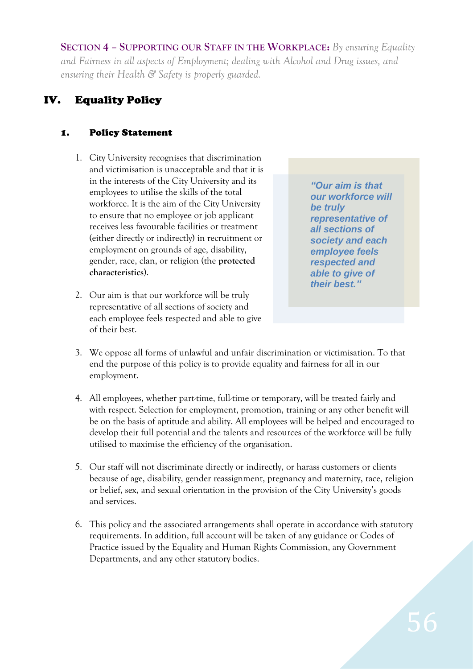**SECTION 4 – SUPPORTING OUR STAFF IN THE WORKPLACE:** *By ensuring Equality and Fairness in all aspects of Employment; dealing with Alcohol and Drug issues, and ensuring their Health & Safety is properly guarded.*

# IV. Equality Policy

### 1. Policy Statement

- 1. City University recognises that discrimination and victimisation is unacceptable and that it is in the interests of the City University and its employees to utilise the skills of the total workforce. It is the aim of the City University to ensure that no employee or job applicant receives less favourable facilities or treatment (either directly or indirectly) in recruitment or employment on grounds of age, disability, gender, race, clan, or religion (the **protected characteristics**).
- 2. Our aim is that our workforce will be truly representative of all sections of society and each employee feels respected and able to give of their best.

*"Our aim is that our workforce will be truly representative of all sections of society and each employee feels respected and able to give of their best."*

- 3. We oppose all forms of unlawful and unfair discrimination or victimisation. To that end the purpose of this policy is to provide equality and fairness for all in our employment.
- 4. All employees, whether part-time, full-time or temporary, will be treated fairly and with respect. Selection for employment, promotion, training or any other benefit will be on the basis of aptitude and ability. All employees will be helped and encouraged to develop their full potential and the talents and resources of the workforce will be fully utilised to maximise the efficiency of the organisation.
- 5. Our staff will not discriminate directly or indirectly, or harass customers or clients because of age, disability, gender reassignment, pregnancy and maternity, race, religion or belief, sex, and sexual orientation in the provision of the City University's goods and services.
- 6. This policy and the associated arrangements shall operate in accordance with statutory requirements. In addition, full account will be taken of any guidance or Codes of Practice issued by the Equality and Human Rights Commission, any Government Departments, and any other statutory bodies.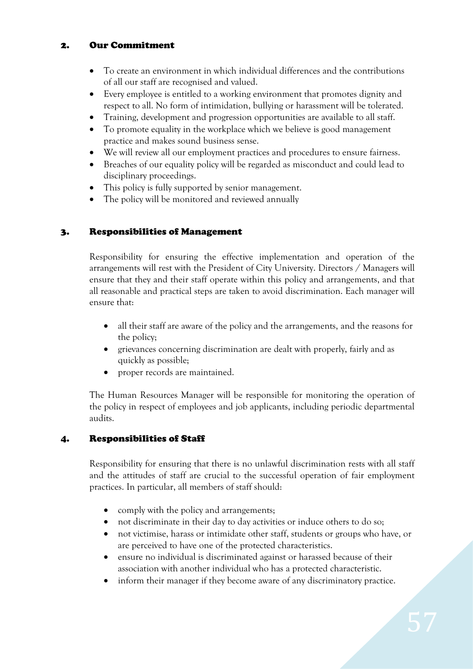### 2. Our Commitment

- To create an environment in which individual differences and the contributions of all our staff are recognised and valued.
- Every employee is entitled to a working environment that promotes dignity and respect to all. No form of intimidation, bullying or harassment will be tolerated.
- Training, development and progression opportunities are available to all staff.
- To promote equality in the workplace which we believe is good management practice and makes sound business sense.
- We will review all our employment practices and procedures to ensure fairness.
- Breaches of our equality policy will be regarded as misconduct and could lead to disciplinary proceedings.
- This policy is fully supported by senior management.
- The policy will be monitored and reviewed annually

### 3. Responsibilities of Management

Responsibility for ensuring the effective implementation and operation of the arrangements will rest with the President of City University. Directors / Managers will ensure that they and their staff operate within this policy and arrangements, and that all reasonable and practical steps are taken to avoid discrimination. Each manager will ensure that:

- all their staff are aware of the policy and the arrangements, and the reasons for the policy;
- grievances concerning discrimination are dealt with properly, fairly and as quickly as possible;
- proper records are maintained.

The Human Resources Manager will be responsible for monitoring the operation of the policy in respect of employees and job applicants, including periodic departmental audits.

### 4. Responsibilities of Staff

Responsibility for ensuring that there is no unlawful discrimination rests with all staff and the attitudes of staff are crucial to the successful operation of fair employment practices. In particular, all members of staff should:

- comply with the policy and arrangements;
- not discriminate in their day to day activities or induce others to do so;
- not victimise, harass or intimidate other staff, students or groups who have, or are perceived to have one of the protected characteristics.
- ensure no individual is discriminated against or harassed because of their association with another individual who has a protected characteristic.
- inform their manager if they become aware of any discriminatory practice.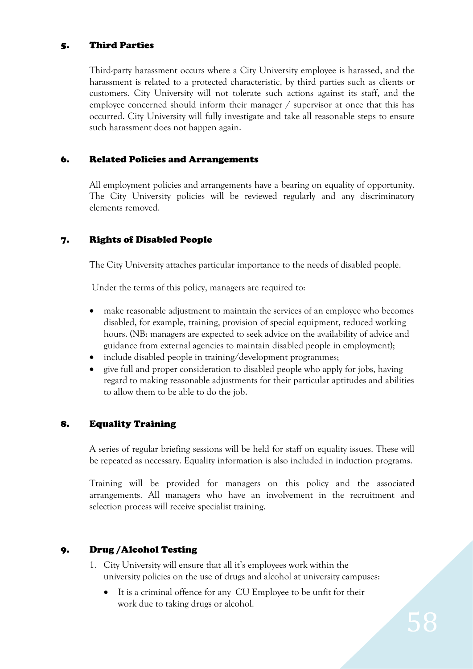#### 5. Third Parties

Third-party harassment occurs where a City University employee is harassed, and the harassment is related to a protected characteristic, by third parties such as clients or customers. City University will not tolerate such actions against its staff, and the employee concerned should inform their manager / supervisor at once that this has occurred. City University will fully investigate and take all reasonable steps to ensure such harassment does not happen again.

### 6. Related Policies and Arrangements

All employment policies and arrangements have a bearing on equality of opportunity. The City University policies will be reviewed regularly and any discriminatory elements removed.

### 7. Rights of Disabled People

The City University attaches particular importance to the needs of disabled people.

Under the terms of this policy, managers are required to:

- make reasonable adjustment to maintain the services of an employee who becomes disabled, for example, training, provision of special equipment, reduced working hours. (NB: managers are expected to seek advice on the availability of advice and guidance from external agencies to maintain disabled people in employment);
- include disabled people in training/development programmes;
- give full and proper consideration to disabled people who apply for jobs, having regard to making reasonable adjustments for their particular aptitudes and abilities to allow them to be able to do the job.

#### 8. Equality Training

A series of regular briefing sessions will be held for staff on equality issues. These will be repeated as necessary. Equality information is also included in induction programs.

Training will be provided for managers on this policy and the associated arrangements. All managers who have an involvement in the recruitment and selection process will receive specialist training.

#### 9. Drug /Alcohol Testing

- 1. City University will ensure that all it's employees work within the university policies on the use of drugs and alcohol at university campuses:
	- It is a criminal offence for any CU Employee to be unfit for their work due to taking drugs or alcohol.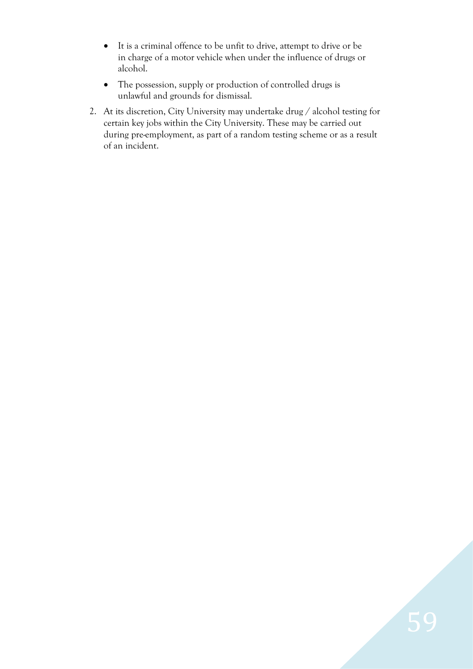- It is a criminal offence to be unfit to drive, attempt to drive or be in charge of a motor vehicle when under the influence of drugs or alcohol.
- The possession, supply or production of controlled drugs is unlawful and grounds for dismissal.
- 2. At its discretion, City University may undertake drug / alcohol testing for certain key jobs within the City University. These may be carried out during pre-employment, as part of a random testing scheme or as a result of an incident.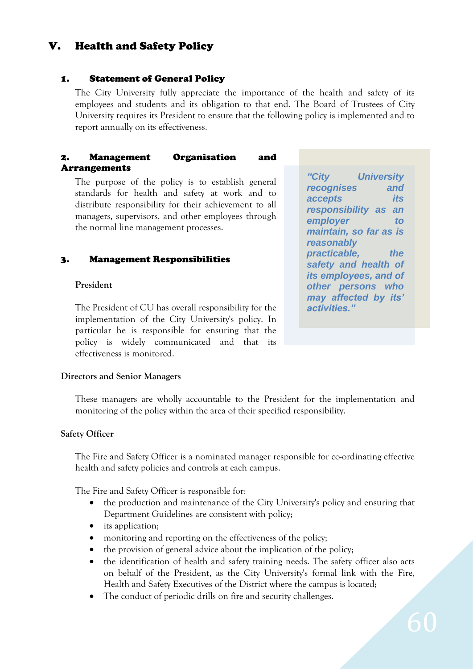## V. Health and Safety Policy

#### 1. Statement of General Policy

The City University fully appreciate the importance of the health and safety of its employees and students and its obligation to that end. The Board of Trustees of City University requires its President to ensure that the following policy is implemented and to report annually on its effectiveness.

#### 2. Management Organisation and Arrangements

The purpose of the policy is to establish general standards for health and safety at work and to distribute responsibility for their achievement to all managers, supervisors, and other employees through the normal line management processes.

#### 3. Management Responsibilities

#### **President**

The President of CU has overall responsibility for the implementation of the City University's policy. In particular he is responsible for ensuring that the policy is widely communicated and that its effectiveness is monitored.

*"City University recognises and accepts its responsibility as an employer to maintain, so far as is reasonably practicable, the safety and health of its employees, and of other persons who may affected by its' activities."*

#### **Directors and Senior Managers**

These managers are wholly accountable to the President for the implementation and monitoring of the policy within the area of their specified responsibility.

#### **Safety Officer**

The Fire and Safety Officer is a nominated manager responsible for co-ordinating effective health and safety policies and controls at each campus.

The Fire and Safety Officer is responsible for:

- the production and maintenance of the City University's policy and ensuring that Department Guidelines are consistent with policy;
- its application;
- monitoring and reporting on the effectiveness of the policy;
- the provision of general advice about the implication of the policy;
- the identification of health and safety training needs. The safety officer also acts on behalf of the President, as the City University's formal link with the Fire, Health and Safety Executives of the District where the campus is located;
- The conduct of periodic drills on fire and security challenges.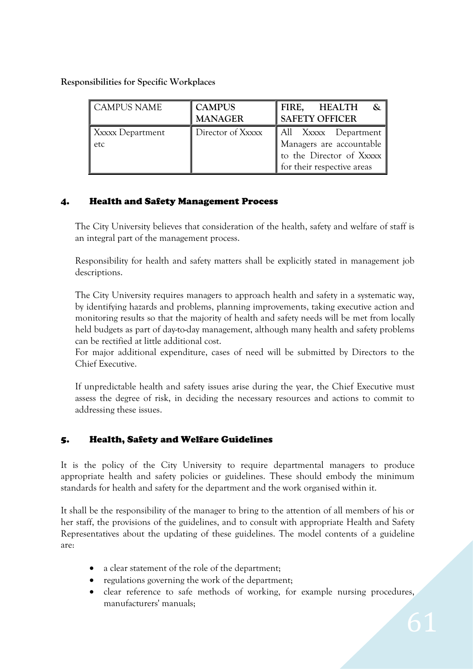**Responsibilities for Specific Workplaces** 

| <b>CAMPUS NAME</b>      | <b>CAMPUS</b><br><b>MANAGER</b> | FIRE,<br>HEALTH<br><b>SAFETY OFFICER</b>                                                                   |
|-------------------------|---------------------------------|------------------------------------------------------------------------------------------------------------|
| Xxxxx Department<br>etc | Director of Xxxxx               | All Xxxxx Department<br>Managers are accountable<br>to the Director of Xxxxx<br>for their respective areas |

### 4. Health and Safety Management Process

The City University believes that consideration of the health, safety and welfare of staff is an integral part of the management process.

Responsibility for health and safety matters shall be explicitly stated in management job descriptions.

The City University requires managers to approach health and safety in a systematic way, by identifying hazards and problems, planning improvements, taking executive action and monitoring results so that the majority of health and safety needs will be met from locally held budgets as part of day-to-day management, although many health and safety problems can be rectified at little additional cost.

For major additional expenditure, cases of need will be submitted by Directors to the Chief Executive.

If unpredictable health and safety issues arise during the year, the Chief Executive must assess the degree of risk, in deciding the necessary resources and actions to commit to addressing these issues.

#### 5. Health, Safety and Welfare Guidelines

It is the policy of the City University to require departmental managers to produce appropriate health and safety policies or guidelines. These should embody the minimum standards for health and safety for the department and the work organised within it.

It shall be the responsibility of the manager to bring to the attention of all members of his or her staff, the provisions of the guidelines, and to consult with appropriate Health and Safety Representatives about the updating of these guidelines. The model contents of a guideline are:

- a clear statement of the role of the department;
- regulations governing the work of the department;
- clear reference to safe methods of working, for example nursing procedures, manufacturers' manuals;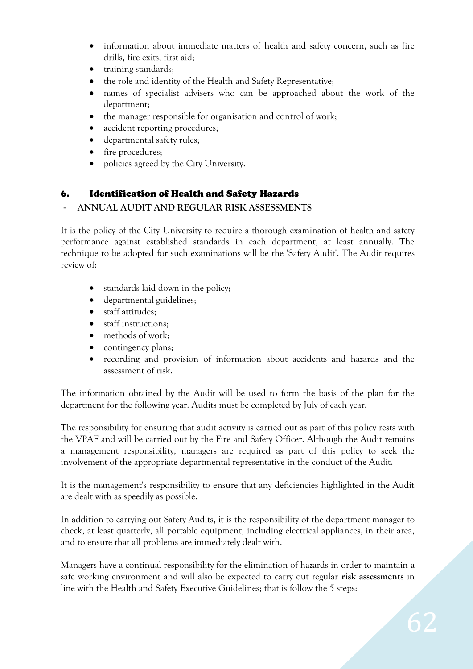- information about immediate matters of health and safety concern, such as fire drills, fire exits, first aid;
- training standards;
- the role and identity of the Health and Safety Representative;
- names of specialist advisers who can be approached about the work of the department;
- the manager responsible for organisation and control of work;
- accident reporting procedures;
- departmental safety rules;
- fire procedures;
- policies agreed by the City University.

### 6. Identification of Health and Safety Hazards

#### - **ANNUAL AUDIT AND REGULAR RISK ASSESSMENTS**

It is the policy of the City University to require a thorough examination of health and safety performance against established standards in each department, at least annually. The technique to be adopted for such examinations will be the *Safety Audit*'. The Audit requires review of:

- standards laid down in the policy;
- departmental guidelines;
- staff attitudes;
- staff instructions;
- methods of work;
- contingency plans;
- recording and provision of information about accidents and hazards and the assessment of risk.

The information obtained by the Audit will be used to form the basis of the plan for the department for the following year. Audits must be completed by July of each year.

The responsibility for ensuring that audit activity is carried out as part of this policy rests with the VPAF and will be carried out by the Fire and Safety Officer. Although the Audit remains a management responsibility, managers are required as part of this policy to seek the involvement of the appropriate departmental representative in the conduct of the Audit.

It is the management's responsibility to ensure that any deficiencies highlighted in the Audit are dealt with as speedily as possible.

In addition to carrying out Safety Audits, it is the responsibility of the department manager to check, at least quarterly, all portable equipment, including electrical appliances, in their area, and to ensure that all problems are immediately dealt with.

Managers have a continual responsibility for the elimination of hazards in order to maintain a safe working environment and will also be expected to carry out regular **risk assessments** in line with the Health and Safety Executive Guidelines; that is follow the 5 steps: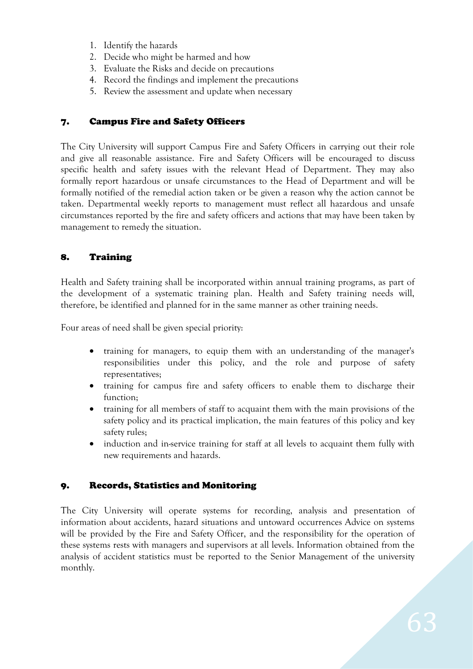- 1. Identify the hazards
- 2. Decide who might be harmed and how
- 3. Evaluate the Risks and decide on precautions
- 4. Record the findings and implement the precautions
- 5. Review the assessment and update when necessary

#### 7. Campus Fire and Safety Officers

The City University will support Campus Fire and Safety Officers in carrying out their role and give all reasonable assistance. Fire and Safety Officers will be encouraged to discuss specific health and safety issues with the relevant Head of Department. They may also formally report hazardous or unsafe circumstances to the Head of Department and will be formally notified of the remedial action taken or be given a reason why the action cannot be taken. Departmental weekly reports to management must reflect all hazardous and unsafe circumstances reported by the fire and safety officers and actions that may have been taken by management to remedy the situation.

### 8. Training

Health and Safety training shall be incorporated within annual training programs, as part of the development of a systematic training plan. Health and Safety training needs will, therefore, be identified and planned for in the same manner as other training needs.

Four areas of need shall be given special priority:

- training for managers, to equip them with an understanding of the manager's responsibilities under this policy, and the role and purpose of safety representatives;
- training for campus fire and safety officers to enable them to discharge their function;
- training for all members of staff to acquaint them with the main provisions of the safety policy and its practical implication, the main features of this policy and key safety rules;
- induction and in-service training for staff at all levels to acquaint them fully with new requirements and hazards.

#### 9. Records, Statistics and Monitoring

The City University will operate systems for recording, analysis and presentation of information about accidents, hazard situations and untoward occurrences Advice on systems will be provided by the Fire and Safety Officer, and the responsibility for the operation of these systems rests with managers and supervisors at all levels. Information obtained from the analysis of accident statistics must be reported to the Senior Management of the university monthly.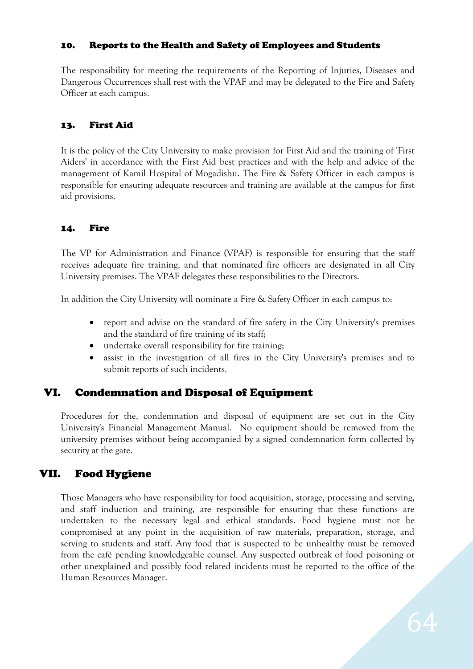#### 10. Reports to the Health and Safety of Employees and Students

The responsibility for meeting the requirements of the Reporting of Injuries, Diseases and Dangerous Occurrences shall rest with the VPAF and may be delegated to the Fire and Safety Officer at each campus.

#### 13. First Aid

It is the policy of the City University to make provision for First Aid and the training of 'First Aiders' in accordance with the First Aid best practices and with the help and advice of the management of Kamil Hospital of Mogadishu. The Fire & Safety Officer in each campus is responsible for ensuring adequate resources and training are available at the campus for first aid provisions.

#### 14. Fire

The VP for Administration and Finance (VPAF) is responsible for ensuring that the staff receives adequate fire training, and that nominated fire officers are designated in all City University premises. The VPAF delegates these responsibilities to the Directors.

In addition the City University will nominate a Fire & Safety Officer in each campus to:

- report and advise on the standard of fire safety in the City University's premises and the standard of fire training of its staff;
- undertake overall responsibility for fire training;
- assist in the investigation of all fires in the City University's premises and to submit reports of such incidents.

### VI. Condemnation and Disposal of Equipment

Procedures for the, condemnation and disposal of equipment are set out in the City University's Financial Management Manual. No equipment should be removed from the university premises without being accompanied by a signed condemnation form collected by security at the gate.

### VII. Food Hygiene

Those Managers who have responsibility for food acquisition, storage, processing and serving, and staff induction and training, are responsible for ensuring that these functions are undertaken to the necessary legal and ethical standards. Food hygiene must not be compromised at any point in the acquisition of raw materials, preparation, storage, and serving to students and staff. Any food that is suspected to be unhealthy must be removed from the café pending knowledgeable counsel. Any suspected outbreak of food poisoning or other unexplained and possibly food related incidents must be reported to the office of the Human Resources Manager.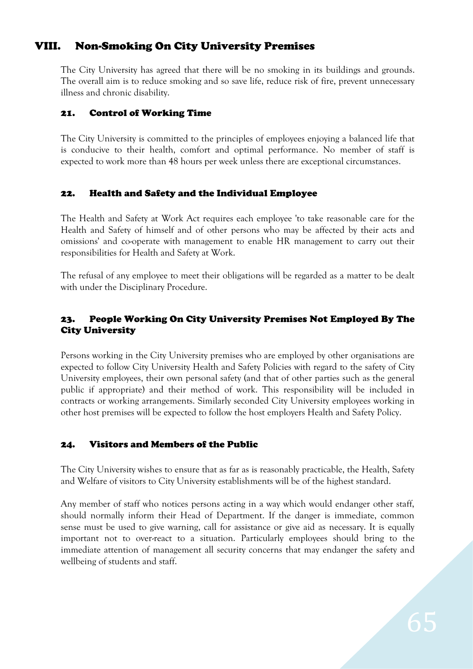# VIII. Non-Smoking On City University Premises

The City University has agreed that there will be no smoking in its buildings and grounds. The overall aim is to reduce smoking and so save life, reduce risk of fire, prevent unnecessary illness and chronic disability.

### 21. Control of Working Time

The City University is committed to the principles of employees enjoying a balanced life that is conducive to their health, comfort and optimal performance. No member of staff is expected to work more than 48 hours per week unless there are exceptional circumstances.

### 22. Health and Safety and the Individual Employee

The Health and Safety at Work Act requires each employee 'to take reasonable care for the Health and Safety of himself and of other persons who may be affected by their acts and omissions' and co-operate with management to enable HR management to carry out their responsibilities for Health and Safety at Work.

The refusal of any employee to meet their obligations will be regarded as a matter to be dealt with under the Disciplinary Procedure.

### 23. People Working On City University Premises Not Employed By The City University

Persons working in the City University premises who are employed by other organisations are expected to follow City University Health and Safety Policies with regard to the safety of City University employees, their own personal safety (and that of other parties such as the general public if appropriate) and their method of work. This responsibility will be included in contracts or working arrangements. Similarly seconded City University employees working in other host premises will be expected to follow the host employers Health and Safety Policy.

### 24. Visitors and Members of the Public

The City University wishes to ensure that as far as is reasonably practicable, the Health, Safety and Welfare of visitors to City University establishments will be of the highest standard.

Any member of staff who notices persons acting in a way which would endanger other staff, should normally inform their Head of Department. If the danger is immediate, common sense must be used to give warning, call for assistance or give aid as necessary. It is equally important not to over-react to a situation. Particularly employees should bring to the immediate attention of management all security concerns that may endanger the safety and wellbeing of students and staff.